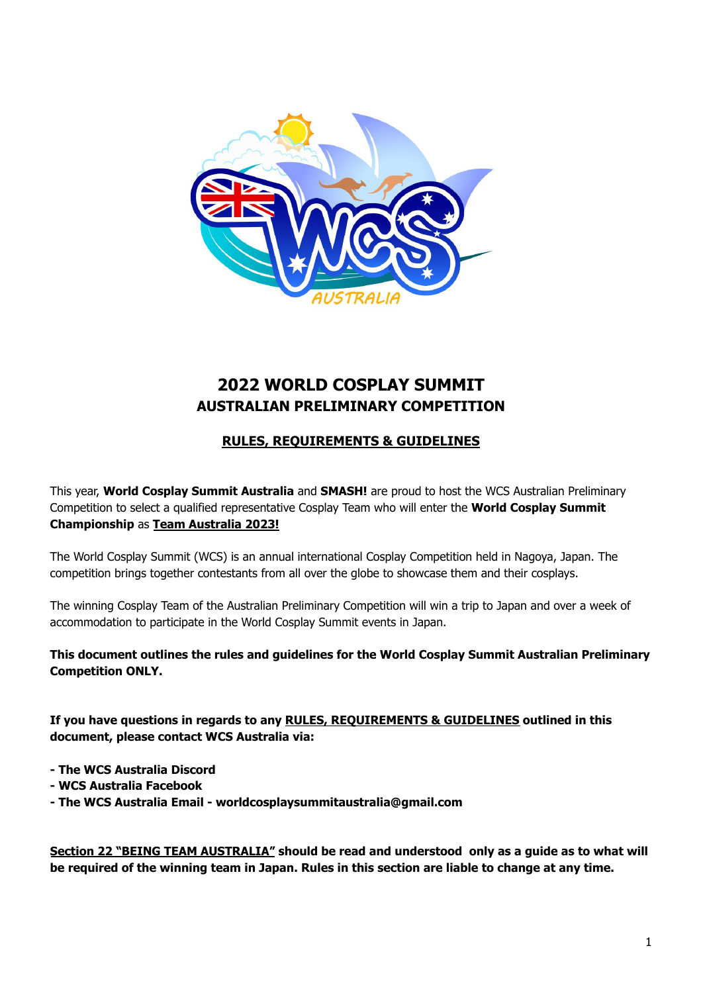

# **2022 WORLD COSPLAY SUMMIT AUSTRALIAN PRELIMINARY COMPETITION**

## **RULES, REQUIREMENTS & GUIDELINES**

This year, **World Cosplay Summit Australia** and **SMASH!** are proud to host the WCS Australian Preliminary Competition to select a qualified representative Cosplay Team who will enter the **World Cosplay Summit Championship** as **Team Australia 2023!**

The World Cosplay Summit (WCS) is an annual international Cosplay Competition held in Nagoya, Japan. The competition brings together contestants from all over the globe to showcase them and their cosplays.

The winning Cosplay Team of the Australian Preliminary Competition will win a trip to Japan and over a week of accommodation to participate in the World Cosplay Summit events in Japan.

**This document outlines the rules and guidelines for the World Cosplay Summit Australian Preliminary Competition ONLY.**

**If you have questions in regards to any RULES, REQUIREMENTS & GUIDELINES outlined in this document, please contact WCS Australia via:**

- **- The WCS Australia Discord**
- **- WCS Australia Facebook**
- **- The WCS Australia Email - worldcosplaysummitaustralia@gmail.com**

**Section 22 "BEING TEAM AUSTRALIA" should be read and understood only as a guide as to what will** be required of the winning team in Japan. Rules in this section are liable to change at any time.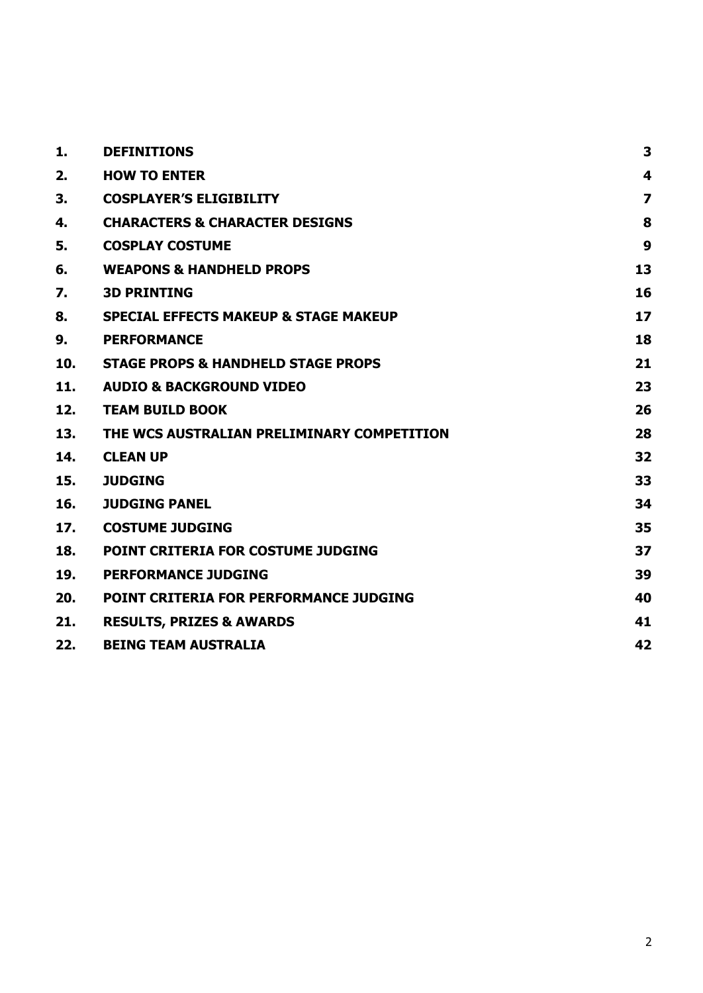| 1.  | <b>DEFINITIONS</b>                               | 3              |
|-----|--------------------------------------------------|----------------|
| 2.  | <b>HOW TO ENTER</b>                              | 4              |
| 3.  | <b>COSPLAYER'S ELIGIBILITY</b>                   | $\overline{z}$ |
| 4.  | <b>CHARACTERS &amp; CHARACTER DESIGNS</b>        | 8              |
| 5.  | <b>COSPLAY COSTUME</b>                           | 9              |
| 6.  | <b>WEAPONS &amp; HANDHELD PROPS</b>              | 13             |
| 7.  | <b>3D PRINTING</b>                               | 16             |
| 8.  | <b>SPECIAL EFFECTS MAKEUP &amp; STAGE MAKEUP</b> | 17             |
| 9.  | <b>PERFORMANCE</b>                               | 18             |
| 10. | <b>STAGE PROPS &amp; HANDHELD STAGE PROPS</b>    | 21             |
| 11. | <b>AUDIO &amp; BACKGROUND VIDEO</b>              | 23             |
| 12. | <b>TEAM BUILD BOOK</b>                           | 26             |
| 13. | THE WCS AUSTRALIAN PRELIMINARY COMPETITION       | 28             |
| 14. | <b>CLEAN UP</b>                                  | 32             |
| 15. | <b>JUDGING</b>                                   | 33             |
| 16. | <b>JUDGING PANEL</b>                             | 34             |
| 17. | <b>COSTUME JUDGING</b>                           | 35             |
| 18. | POINT CRITERIA FOR COSTUME JUDGING               | 37             |
| 19. | <b>PERFORMANCE JUDGING</b>                       | 39             |
| 20. | <b>POINT CRITERIA FOR PERFORMANCE JUDGING</b>    | 40             |
| 21. | <b>RESULTS, PRIZES &amp; AWARDS</b>              | 41             |
| 22. | <b>BEING TEAM AUSTRALIA</b>                      | 42             |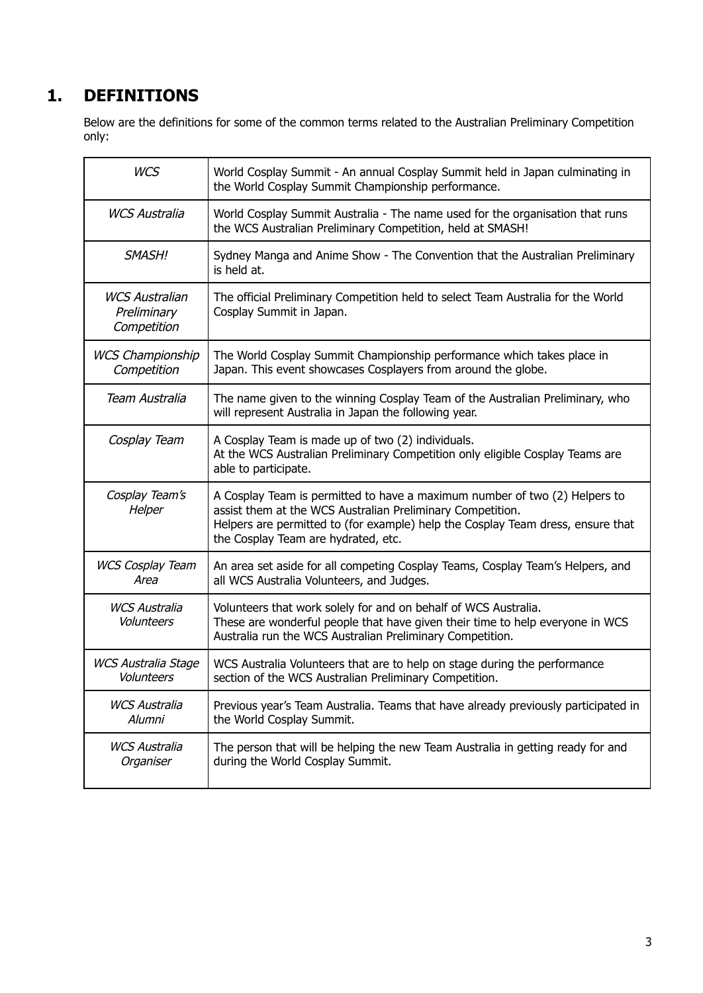# <span id="page-2-0"></span>**1. DEFINITIONS**

Below are the definitions for some of the common terms related to the Australian Preliminary Competition only:

| <b>WCS</b>                                          | World Cosplay Summit - An annual Cosplay Summit held in Japan culminating in<br>the World Cosplay Summit Championship performance.                                                                                                                                 |
|-----------------------------------------------------|--------------------------------------------------------------------------------------------------------------------------------------------------------------------------------------------------------------------------------------------------------------------|
| <b>WCS Australia</b>                                | World Cosplay Summit Australia - The name used for the organisation that runs<br>the WCS Australian Preliminary Competition, held at SMASH!                                                                                                                        |
| SMASH!                                              | Sydney Manga and Anime Show - The Convention that the Australian Preliminary<br>is held at.                                                                                                                                                                        |
| <b>WCS Australian</b><br>Preliminary<br>Competition | The official Preliminary Competition held to select Team Australia for the World<br>Cosplay Summit in Japan.                                                                                                                                                       |
| <b>WCS Championship</b><br>Competition              | The World Cosplay Summit Championship performance which takes place in<br>Japan. This event showcases Cosplayers from around the globe.                                                                                                                            |
| Team Australia                                      | The name given to the winning Cosplay Team of the Australian Preliminary, who<br>will represent Australia in Japan the following year.                                                                                                                             |
| Cosplay Team                                        | A Cosplay Team is made up of two (2) individuals.<br>At the WCS Australian Preliminary Competition only eligible Cosplay Teams are<br>able to participate.                                                                                                         |
| Cosplay Team's<br>Helper                            | A Cosplay Team is permitted to have a maximum number of two (2) Helpers to<br>assist them at the WCS Australian Preliminary Competition.<br>Helpers are permitted to (for example) help the Cosplay Team dress, ensure that<br>the Cosplay Team are hydrated, etc. |
| <b>WCS Cosplay Team</b><br>Area                     | An area set aside for all competing Cosplay Teams, Cosplay Team's Helpers, and<br>all WCS Australia Volunteers, and Judges.                                                                                                                                        |
| <b>WCS Australia</b><br>Volunteers                  | Volunteers that work solely for and on behalf of WCS Australia.<br>These are wonderful people that have given their time to help everyone in WCS<br>Australia run the WCS Australian Preliminary Competition.                                                      |
| <b>WCS Australia Stage</b><br>Volunteers            | WCS Australia Volunteers that are to help on stage during the performance<br>section of the WCS Australian Preliminary Competition.                                                                                                                                |
| WCS Australia<br>Alumni                             | Previous year's Team Australia. Teams that have already previously participated in<br>the World Cosplay Summit.                                                                                                                                                    |
| <b>WCS Australia</b><br>Organiser                   | The person that will be helping the new Team Australia in getting ready for and<br>during the World Cosplay Summit.                                                                                                                                                |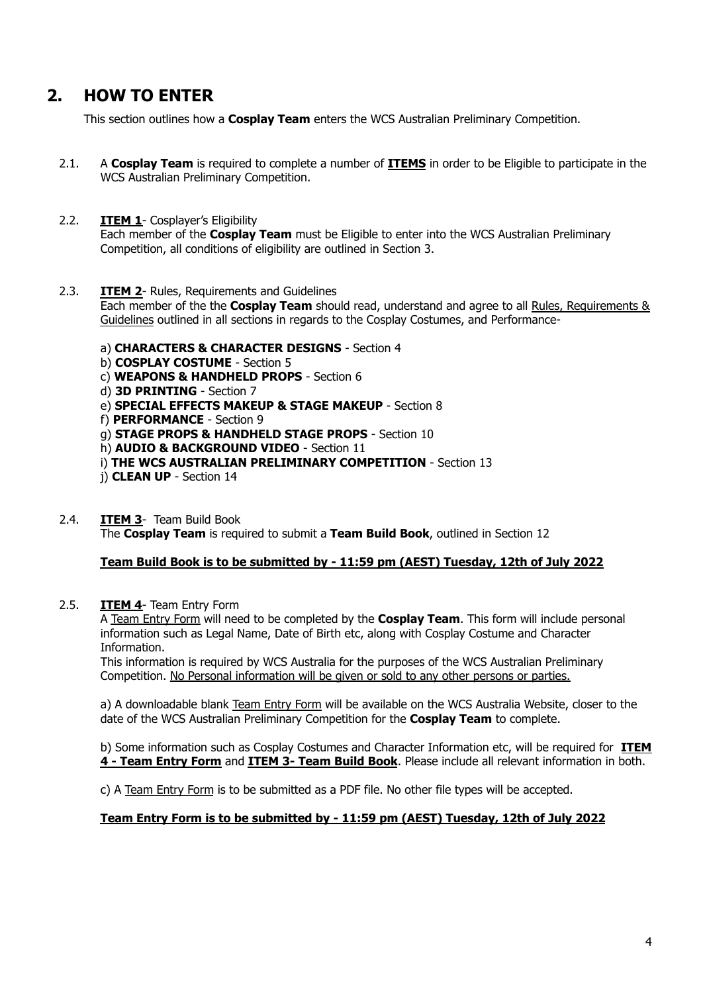# <span id="page-3-0"></span>**2. HOW TO ENTER**

This section outlines how a **Cosplay Team** enters the WCS Australian Preliminary Competition.

2.1. A **Cosplay Team** is required to complete a number of **ITEMS** in order to be Eligible to participate in the WCS Australian Preliminary Competition.

### 2.2. **ITEM 1**- Cosplayer's Eligibility

Each member of the **Cosplay Team** must be Eligible to enter into the WCS Australian Preliminary Competition, all conditions of eligibility are outlined in Section 3.

#### 2.3. **ITEM 2**- Rules, Requirements and Guidelines

Each member of the the **Cosplay Team** should read, understand and agree to all Rules, Requirements & Guidelines outlined in all sections in regards to the Cosplay Costumes, and Performance-

- a) **CHARACTERS & CHARACTER DESIGNS** Section 4
- b) **COSPLAY COSTUME** Section 5
- c) **WEAPONS & HANDHELD PROPS** Section 6
- d) **3D PRINTING** Section 7
- e) **SPECIAL EFFECTS MAKEUP & STAGE MAKEUP** Section 8
- f) **PERFORMANCE** Section 9
- g) **STAGE PROPS & HANDHELD STAGE PROPS** Section 10
- h) **AUDIO & BACKGROUND VIDEO** Section 11
- i) **THE WCS AUSTRALIAN PRELIMINARY COMPETITION** Section 13
- j) **CLEAN UP** Section 14
- 2.4. **ITEM 3** Team Build Book The **Cosplay Team** is required to submit a **Team Build Book**, outlined in Section 12

#### **Team Build Book is to be submitted by - 11:59 pm (AEST) Tuesday, 12th of July 2022**

#### 2.5. **ITEM 4**- Team Entry Form

A Team Entry Form will need to be completed by the **Cosplay Team**. This form will include personal information such as Legal Name, Date of Birth etc, along with Cosplay Costume and Character Information.

This information is required by WCS Australia for the purposes of the WCS Australian Preliminary Competition. No Personal information will be given or sold to any other persons or parties.

a) A downloadable blank Team Entry Form will be available on the WCS Australia Website, closer to the date of the WCS Australian Preliminary Competition for the **Cosplay Team** to complete.

b) Some information such as Cosplay Costumes and Character Information etc, will be required for **ITEM 4 - Team Entry Form** and **ITEM 3- Team Build Book**. Please include all relevant information in both.

c) A Team Entry Form is to be submitted as a PDF file. No other file types will be accepted.

#### **Team Entry Form is to be submitted by - 11:59 pm (AEST) Tuesday, 12th of July 2022**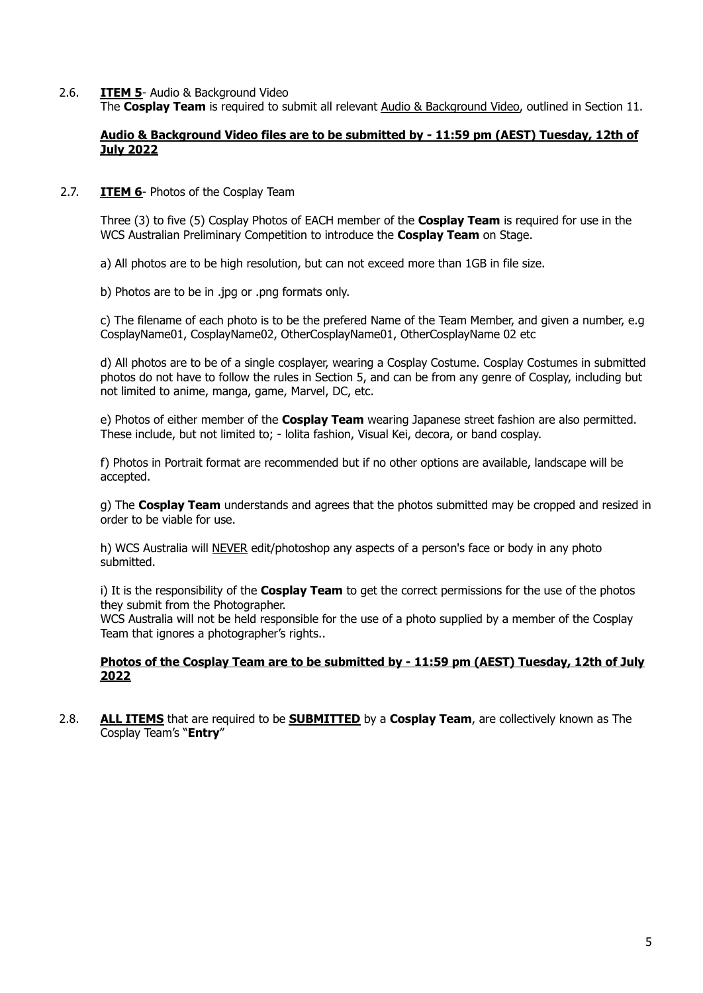2.6. **ITEM 5**- Audio & Background Video The **Cosplay Team** is required to submit all relevant Audio & Background Video, outlined in Section 11.

### **Audio & Background Video files are to be submitted by - 11:59 pm (AEST) Tuesday, 12th of July 2022**

### 2.7. **ITEM 6**- Photos of the Cosplay Team

Three (3) to five (5) Cosplay Photos of EACH member of the **Cosplay Team** is required for use in the WCS Australian Preliminary Competition to introduce the **Cosplay Team** on Stage.

a) All photos are to be high resolution, but can not exceed more than 1GB in file size.

b) Photos are to be in .jpg or .png formats only.

c) The filename of each photo is to be the prefered Name of the Team Member, and given a number, e.g CosplayName01, CosplayName02, OtherCosplayName01, OtherCosplayName 02 etc

d) All photos are to be of a single cosplayer, wearing a Cosplay Costume. Cosplay Costumes in submitted photos do not have to follow the rules in Section 5, and can be from any genre of Cosplay, including but not limited to anime, manga, game, Marvel, DC, etc.

e) Photos of either member of the **Cosplay Team** wearing Japanese street fashion are also permitted. These include, but not limited to; - lolita fashion, Visual Kei, decora, or band cosplay.

f) Photos in Portrait format are recommended but if no other options are available, landscape will be accepted.

g) The **Cosplay Team** understands and agrees that the photos submitted may be cropped and resized in order to be viable for use.

h) WCS Australia will NEVER edit/photoshop any aspects of a person's face or body in any photo submitted.

i) It is the responsibility of the **Cosplay Team** to get the correct permissions for the use of the photos they submit from the Photographer.

WCS Australia will not be held responsible for the use of a photo supplied by a member of the Cosplay Team that ignores a photographer's rights..

#### **Photos of the Cosplay Team are to be submitted by - 11:59 pm (AEST) Tuesday, 12th of July 2022**

2.8. **ALL ITEMS** that are required to be **SUBMITTED** by a **Cosplay Team**, are collectively known as The Cosplay Team's "**Entry**"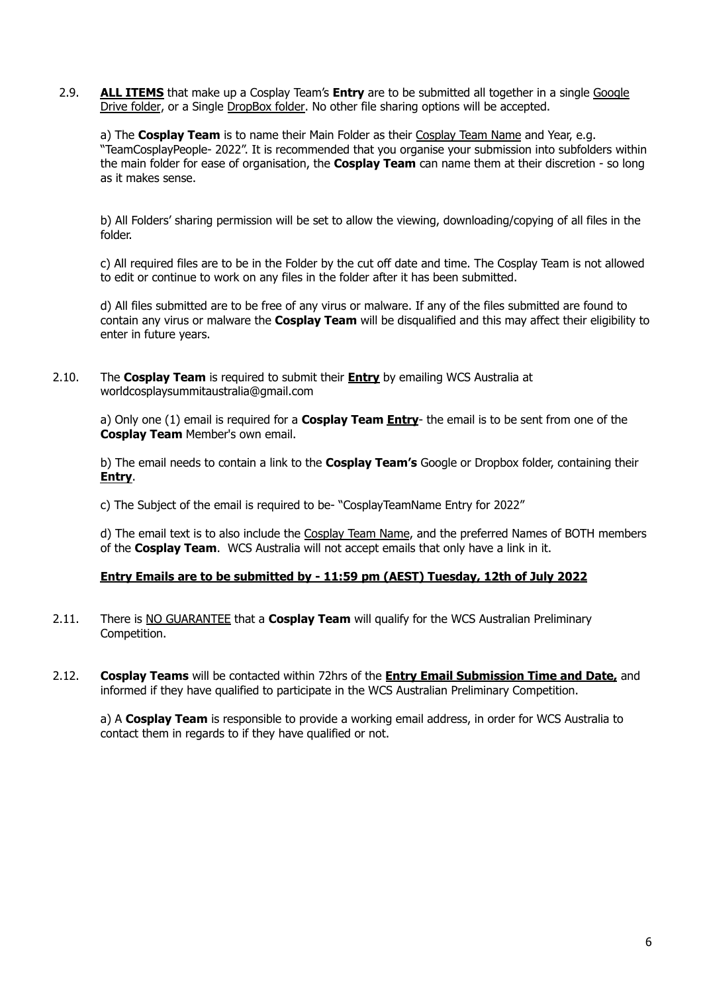2.9. **ALL ITEMS** that make up a Cosplay Team's **Entry** are to be submitted all together in a single Google Drive folder, or a Single DropBox folder. No other file sharing options will be accepted.

a) The **Cosplay Team** is to name their Main Folder as their Cosplay Team Name and Year, e.g. "TeamCosplayPeople- 2022". It is recommended that you organise your submission into subfolders within the main folder for ease of organisation, the **Cosplay Team** can name them at their discretion - so long as it makes sense.

b) All Folders' sharing permission will be set to allow the viewing, downloading/copying of all files in the folder.

c) All required files are to be in the Folder by the cut off date and time. The Cosplay Team is not allowed to edit or continue to work on any files in the folder after it has been submitted.

d) All files submitted are to be free of any virus or malware. If any of the files submitted are found to contain any virus or malware the **Cosplay Team** will be disqualified and this may affect their eligibility to enter in future years.

2.10. The **Cosplay Team** is required to submit their **Entry** by emailing WCS Australia at worldcosplaysummitaustralia@gmail.com

a) Only one (1) email is required for a **Cosplay Team Entry**- the email is to be sent from one of the **Cosplay Team** Member's own email.

b) The email needs to contain a link to the **Cosplay Team's** Google or Dropbox folder, containing their **Entry**.

c) The Subject of the email is required to be- "CosplayTeamName Entry for 2022"

d) The email text is to also include the Cosplay Team Name, and the preferred Names of BOTH members of the **Cosplay Team**. WCS Australia will not accept emails that only have a link in it.

#### **Entry Emails are to be submitted by - 11:59 pm (AEST) Tuesday, 12th of July 2022**

- 2.11. There is NO GUARANTEE that a **Cosplay Team** will qualify for the WCS Australian Preliminary Competition.
- 2.12. **Cosplay Teams** will be contacted within 72hrs of the **Entry Email Submission Time and Date,** and informed if they have qualified to participate in the WCS Australian Preliminary Competition.

a) A **Cosplay Team** is responsible to provide a working email address, in order for WCS Australia to contact them in regards to if they have qualified or not.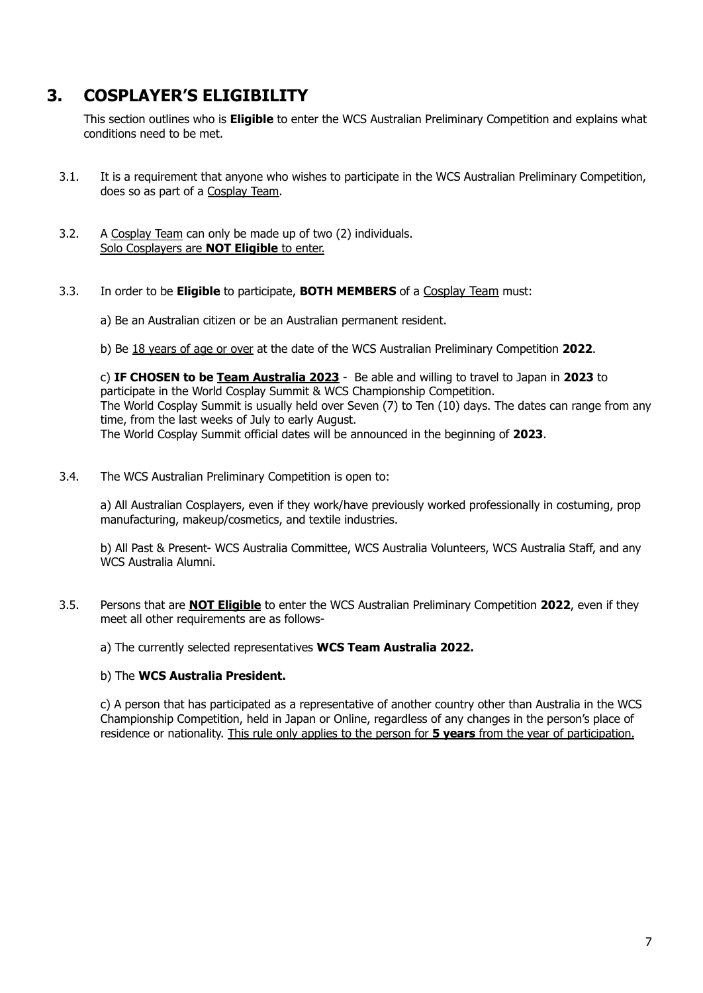# <span id="page-6-0"></span>**3. COSPLAYER'S ELIGIBILITY**

This section outlines who is **Eligible** to enter the WCS Australian Preliminary Competition and explains what conditions need to be met.

- 3.1. It is a requirement that anyone who wishes to participate in the WCS Australian Preliminary Competition, does so as part of a Cosplay Team.
- 3.2. A Cosplay Team can only be made up of two (2) individuals. Solo Cosplayers are **NOT Eligible** to enter.
- 3.3. In order to be **Eligible** to participate, **BOTH MEMBERS** of a Cosplay Team must:
	- a) Be an Australian citizen or be an Australian permanent resident.
	- b) Be 18 years of age or over at the date of the WCS Australian Preliminary Competition **2022**.

c) **IF CHOSEN to be Team Australia 2023** - Be able and willing to travel to Japan in **2023** to participate in the World Cosplay Summit & WCS Championship Competition. The World Cosplay Summit is usually held over Seven (7) to Ten (10) days. The dates can range from any time, from the last weeks of July to early August. The World Cosplay Summit official dates will be announced in the beginning of **2023**.

3.4. The WCS Australian Preliminary Competition is open to:

a) All Australian Cosplayers, even if they work/have previously worked professionally in costuming, prop manufacturing, makeup/cosmetics, and textile industries.

b) All Past & Present- WCS Australia Committee, WCS Australia Volunteers, WCS Australia Staff, and any WCS Australia Alumni.

3.5. Persons that are **NOT Eligible** to enter the WCS Australian Preliminary Competition **2022**, even if they meet all other requirements are as follows-

a) The currently selected representatives **WCS Team Australia 2022.**

#### b) The **WCS Australia President.**

c) A person that has participated as a representative of another country other than Australia in the WCS Championship Competition, held in Japan or Online, regardless of any changes in the person's place of residence or nationality. This rule only applies to the person for **5 years** from the year of participation.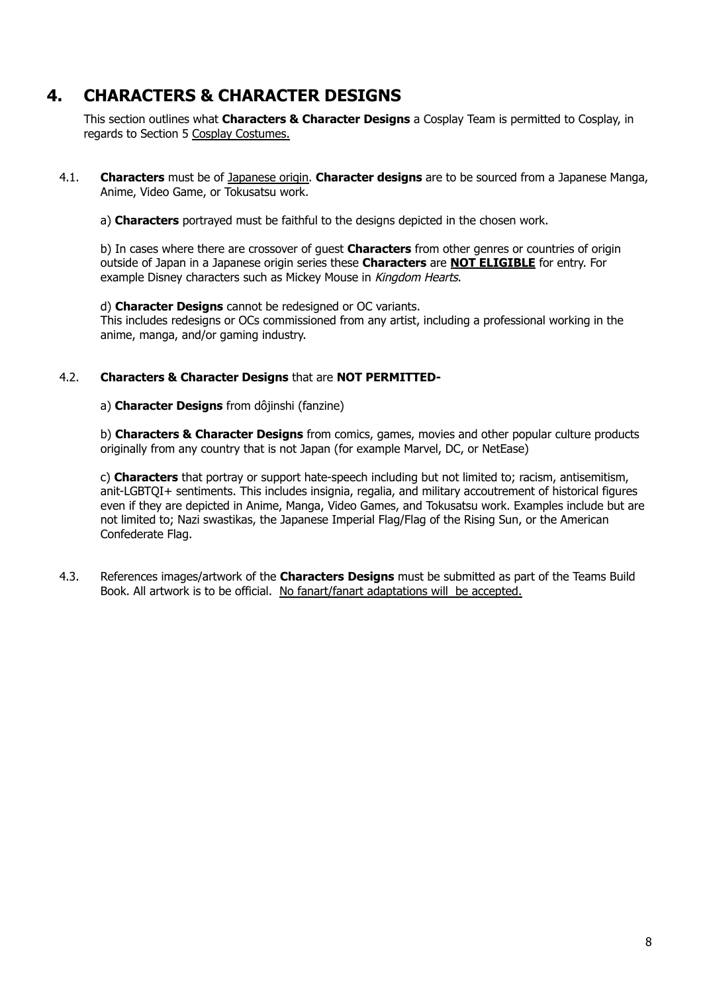# <span id="page-7-0"></span>**4. CHARACTERS & CHARACTER DESIGNS**

This section outlines what **Characters & Character Designs** a Cosplay Team is permitted to Cosplay, in regards to Section 5 Cosplay Costumes.

- 4.1. **Characters** must be of Japanese origin. **Character designs** are to be sourced from a Japanese Manga, Anime, Video Game, or Tokusatsu work.
	- a) **Characters** portrayed must be faithful to the designs depicted in the chosen work.

b) In cases where there are crossover of guest **Characters** from other genres or countries of origin outside of Japan in a Japanese origin series these **Characters** are **NOT ELIGIBLE** for entry. For example Disney characters such as Mickey Mouse in Kingdom Hearts.

### d) **Character Designs** cannot be redesigned or OC variants.

This includes redesigns or OCs commissioned from any artist, including a professional working in the anime, manga, and/or gaming industry.

### 4.2. **Characters & Character Designs** that are **NOT PERMITTED-**

#### a) **Character Designs** from dôjinshi (fanzine)

b) **Characters & Character Designs** from comics, games, movies and other popular culture products originally from any country that is not Japan (for example Marvel, DC, or NetEase)

c) **Characters** that portray or support hate-speech including but not limited to; racism, antisemitism, anit-LGBTQI+ sentiments. This includes insignia, regalia, and military accoutrement of historical figures even if they are depicted in Anime, Manga, Video Games, and Tokusatsu work. Examples include but are not limited to; Nazi swastikas, the Japanese Imperial Flag/Flag of the Rising Sun, or the American Confederate Flag.

4.3. References images/artwork of the **Characters Designs** must be submitted as part of the Teams Build Book. All artwork is to be official. No fanart/fanart adaptations will be accepted.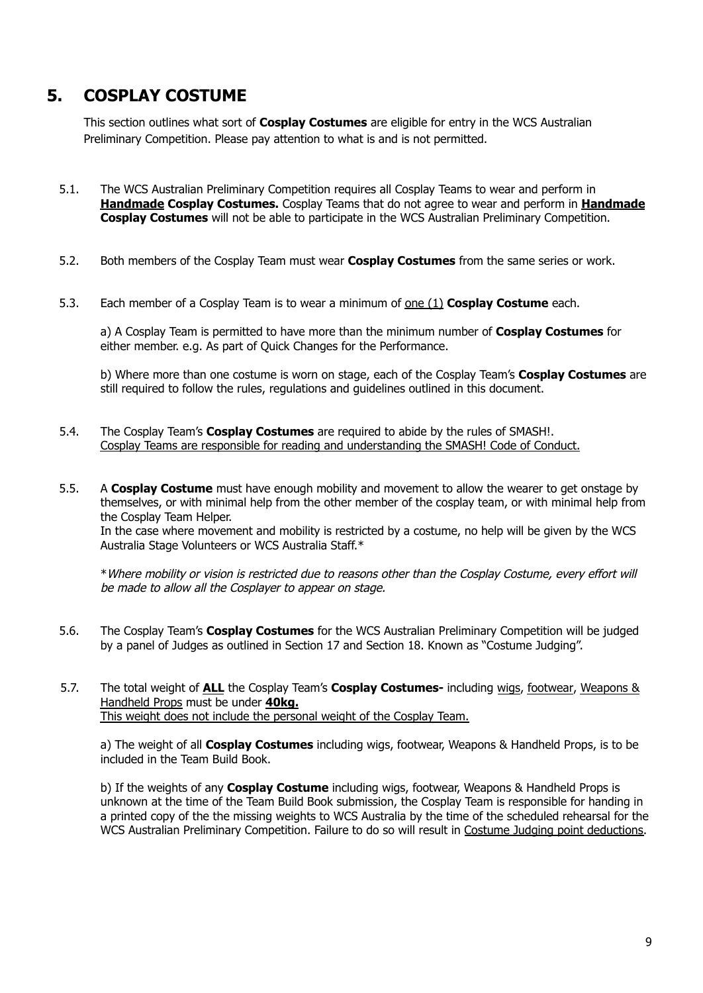# <span id="page-8-0"></span>**5. COSPLAY COSTUME**

This section outlines what sort of **Cosplay Costumes** are eligible for entry in the WCS Australian Preliminary Competition. Please pay attention to what is and is not permitted.

- 5.1. The WCS Australian Preliminary Competition requires all Cosplay Teams to wear and perform in **Handmade Cosplay Costumes.** Cosplay Teams that do not agree to wear and perform in **Handmade Cosplay Costumes** will not be able to participate in the WCS Australian Preliminary Competition.
- 5.2. Both members of the Cosplay Team must wear **Cosplay Costumes** from the same series or work.
- 5.3. Each member of a Cosplay Team is to wear a minimum of one (1) **Cosplay Costume** each.

a) A Cosplay Team is permitted to have more than the minimum number of **Cosplay Costumes** for either member. e.g. As part of Quick Changes for the Performance.

b) Where more than one costume is worn on stage, each of the Cosplay Team's **Cosplay Costumes** are still required to follow the rules, regulations and guidelines outlined in this document.

- 5.4. The Cosplay Team's **Cosplay Costumes** are required to abide by the rules of SMASH!. Cosplay Teams are responsible for reading and understanding the SMASH! Code of Conduct.
- 5.5. A **Cosplay Costume** must have enough mobility and movement to allow the wearer to get onstage by themselves, or with minimal help from the other member of the cosplay team, or with minimal help from the Cosplay Team Helper.

In the case where movement and mobility is restricted by a costume, no help will be given by the WCS Australia Stage Volunteers or WCS Australia Staff.\*

\*Where mobility or vision is restricted due to reasons other than the Cosplay Costume, every effort will be made to allow all the Cosplayer to appear on stage.

- 5.6. The Cosplay Team's **Cosplay Costumes** for the WCS Australian Preliminary Competition will be judged by a panel of Judges as outlined in Section 17 and Section 18. Known as "Costume Judging".
- 5.7. The total weight of **ALL** the Cosplay Team's **Cosplay Costumes-** including wigs, footwear, Weapons & Handheld Props must be under **40kg.** This weight does not include the personal weight of the Cosplay Team.

a) The weight of all **Cosplay Costumes** including wigs, footwear, Weapons & Handheld Props, is to be included in the Team Build Book.

b) If the weights of any **Cosplay Costume** including wigs, footwear, Weapons & Handheld Props is unknown at the time of the Team Build Book submission, the Cosplay Team is responsible for handing in a printed copy of the the missing weights to WCS Australia by the time of the scheduled rehearsal for the WCS Australian Preliminary Competition. Failure to do so will result in Costume Judging point deductions.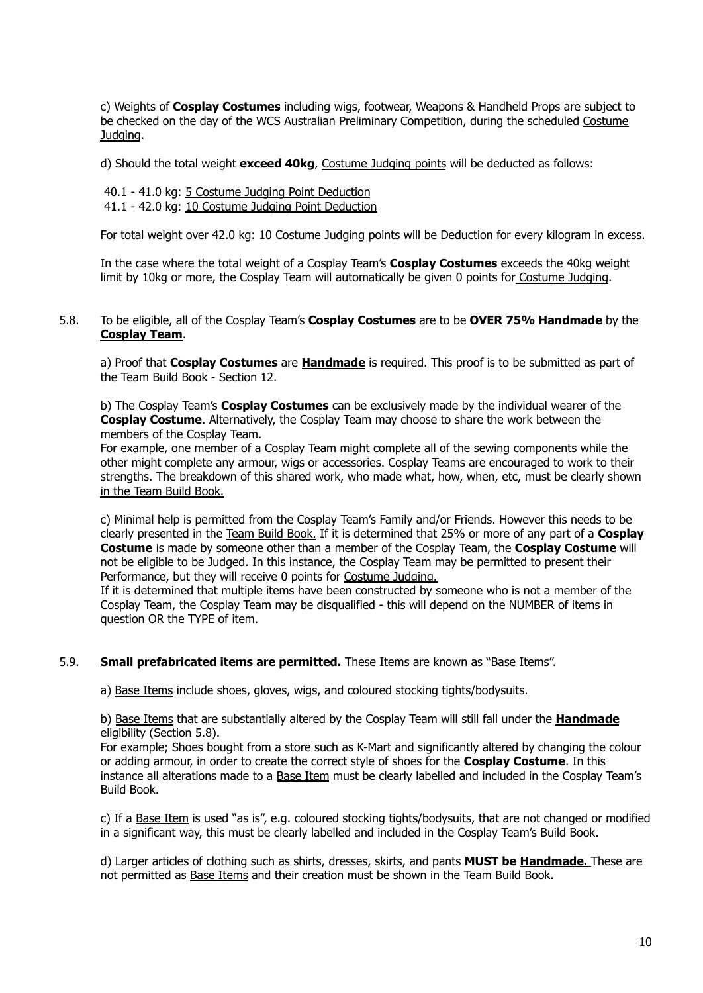c) Weights of **Cosplay Costumes** including wigs, footwear, Weapons & Handheld Props are subject to be checked on the day of the WCS Australian Preliminary Competition, during the scheduled Costume Judging.

d) Should the total weight **exceed 40kg**, Costume Judging points will be deducted as follows:

40.1 - 41.0 kg: 5 Costume Judging Point Deduction 41.1 - 42.0 kg: 10 Costume Judging Point Deduction

For total weight over 42.0 kg: 10 Costume Judging points will be Deduction for every kilogram in excess.

In the case where the total weight of a Cosplay Team's **Cosplay Costumes** exceeds the 40kg weight limit by 10kg or more, the Cosplay Team will automatically be given 0 points for Costume Judging.

### 5.8. To be eligible, all of the Cosplay Team's **Cosplay Costumes** are to be **OVER 75% Handmade** by the **Cosplay Team**.

a) Proof that **Cosplay Costumes** are **Handmade** is required. This proof is to be submitted as part of the Team Build Book - Section 12.

b) The Cosplay Team's **Cosplay Costumes** can be exclusively made by the individual wearer of the **Cosplay Costume**. Alternatively, the Cosplay Team may choose to share the work between the members of the Cosplay Team.

For example, one member of a Cosplay Team might complete all of the sewing components while the other might complete any armour, wigs or accessories. Cosplay Teams are encouraged to work to their strengths. The breakdown of this shared work, who made what, how, when, etc, must be clearly shown in the Team Build Book.

c) Minimal help is permitted from the Cosplay Team's Family and/or Friends. However this needs to be clearly presented in the Team Build Book. If it is determined that 25% or more of any part of a **Cosplay Costume** is made by someone other than a member of the Cosplay Team, the **Cosplay Costume** will not be eligible to be Judged. In this instance, the Cosplay Team may be permitted to present their Performance, but they will receive 0 points for Costume Judging.

If it is determined that multiple items have been constructed by someone who is not a member of the Cosplay Team, the Cosplay Team may be disqualified - this will depend on the NUMBER of items in question OR the TYPE of item.

### 5.9. **Small prefabricated items are permitted.** These Items are known as "Base Items".

a) Base Items include shoes, gloves, wigs, and coloured stocking tights/bodysuits.

b) Base Items that are substantially altered by the Cosplay Team will still fall under the **Handmade** eligibility (Section 5.8).

For example; Shoes bought from a store such as K-Mart and significantly altered by changing the colour or adding armour, in order to create the correct style of shoes for the **Cosplay Costume**. In this instance all alterations made to a Base Item must be clearly labelled and included in the Cosplay Team's Build Book.

c) If a Base Item is used "as is", e.g. coloured stocking tights/bodysuits, that are not changed or modified in a significant way, this must be clearly labelled and included in the Cosplay Team's Build Book.

d) Larger articles of clothing such as shirts, dresses, skirts, and pants **MUST be Handmade.** These are not permitted as Base Items and their creation must be shown in the Team Build Book.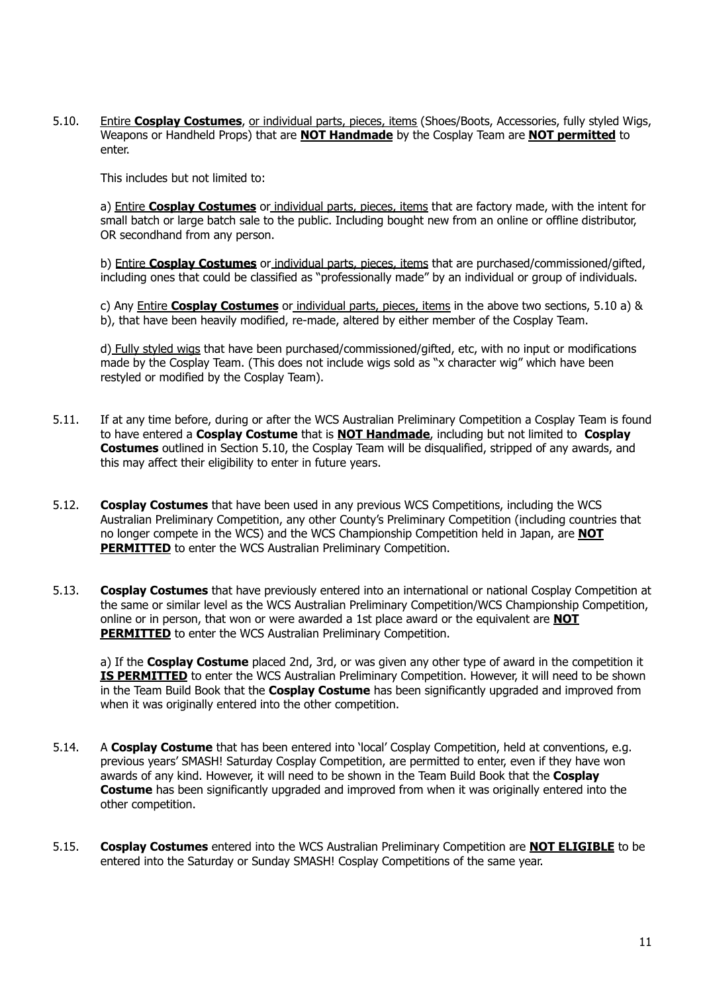5.10. Entire **Cosplay Costumes**, or individual parts, pieces, items (Shoes/Boots, Accessories, fully styled Wigs, Weapons or Handheld Props) that are **NOT Handmade** by the Cosplay Team are **NOT permitted** to enter.

This includes but not limited to:

a) Entire **Cosplay Costumes** or individual parts, pieces, items that are factory made, with the intent for small batch or large batch sale to the public. Including bought new from an online or offline distributor, OR secondhand from any person.

b) Entire **Cosplay Costumes** or individual parts, pieces, items that are purchased/commissioned/gifted, including ones that could be classified as "professionally made" by an individual or group of individuals.

c) Any Entire **Cosplay Costumes** or individual parts, pieces, items in the above two sections, 5.10 a) & b), that have been heavily modified, re-made, altered by either member of the Cosplay Team.

d) Fully styled wigs that have been purchased/commissioned/gifted, etc, with no input or modifications made by the Cosplay Team. (This does not include wigs sold as "x character wig" which have been restyled or modified by the Cosplay Team).

- 5.11. If at any time before, during or after the WCS Australian Preliminary Competition a Cosplay Team is found to have entered a **Cosplay Costume** that is **NOT Handmade**, including but not limited to **Cosplay Costumes** outlined in Section 5.10, the Cosplay Team will be disqualified, stripped of any awards, and this may affect their eligibility to enter in future years.
- 5.12. **Cosplay Costumes** that have been used in any previous WCS Competitions, including the WCS Australian Preliminary Competition, any other County's Preliminary Competition (including countries that no longer compete in the WCS) and the WCS Championship Competition held in Japan, are **NOT PERMITTED** to enter the WCS Australian Preliminary Competition.
- 5.13. **Cosplay Costumes** that have previously entered into an international or national Cosplay Competition at the same or similar level as the WCS Australian Preliminary Competition/WCS Championship Competition, online or in person, that won or were awarded a 1st place award or the equivalent are **NOT PERMITTED** to enter the WCS Australian Preliminary Competition.

a) If the **Cosplay Costume** placed 2nd, 3rd, or was given any other type of award in the competition it **IS PERMITTED** to enter the WCS Australian Preliminary Competition. However, it will need to be shown in the Team Build Book that the **Cosplay Costume** has been significantly upgraded and improved from when it was originally entered into the other competition.

- 5.14. A **Cosplay Costume** that has been entered into 'local' Cosplay Competition, held at conventions, e.g. previous years' SMASH! Saturday Cosplay Competition, are permitted to enter, even if they have won awards of any kind. However, it will need to be shown in the Team Build Book that the **Cosplay Costume** has been significantly upgraded and improved from when it was originally entered into the other competition.
- 5.15. **Cosplay Costumes** entered into the WCS Australian Preliminary Competition are **NOT ELIGIBLE** to be entered into the Saturday or Sunday SMASH! Cosplay Competitions of the same year.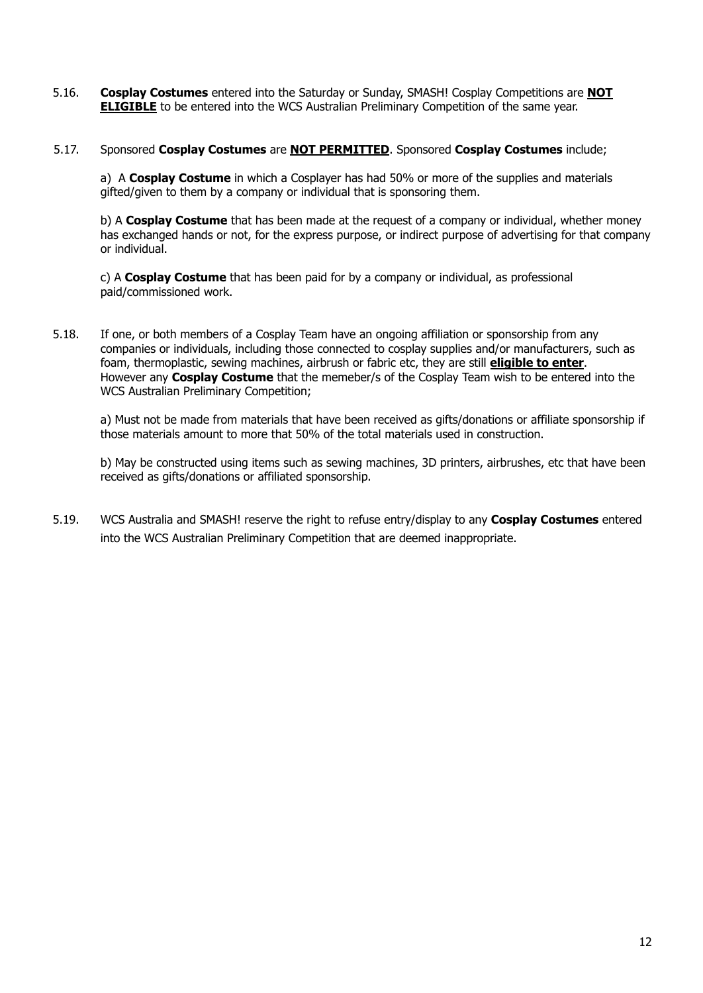- 5.16. **Cosplay Costumes** entered into the Saturday or Sunday, SMASH! Cosplay Competitions are **NOT ELIGIBLE** to be entered into the WCS Australian Preliminary Competition of the same year.
- 5.17. Sponsored **Cosplay Costumes** are **NOT PERMITTED**. Sponsored **Cosplay Costumes** include;

a) A **Cosplay Costume** in which a Cosplayer has had 50% or more of the supplies and materials gifted/given to them by a company or individual that is sponsoring them.

b) A **Cosplay Costume** that has been made at the request of a company or individual, whether money has exchanged hands or not, for the express purpose, or indirect purpose of advertising for that company or individual.

c) A **Cosplay Costume** that has been paid for by a company or individual, as professional paid/commissioned work.

5.18. If one, or both members of a Cosplay Team have an ongoing affiliation or sponsorship from any companies or individuals, including those connected to cosplay supplies and/or manufacturers, such as foam, thermoplastic, sewing machines, airbrush or fabric etc, they are still **eligible to enter**. However any **Cosplay Costume** that the memeber/s of the Cosplay Team wish to be entered into the WCS Australian Preliminary Competition;

a) Must not be made from materials that have been received as gifts/donations or affiliate sponsorship if those materials amount to more that 50% of the total materials used in construction.

b) May be constructed using items such as sewing machines, 3D printers, airbrushes, etc that have been received as gifts/donations or affiliated sponsorship.

5.19. WCS Australia and SMASH! reserve the right to refuse entry/display to any **Cosplay Costumes** entered into the WCS Australian Preliminary Competition that are deemed inappropriate.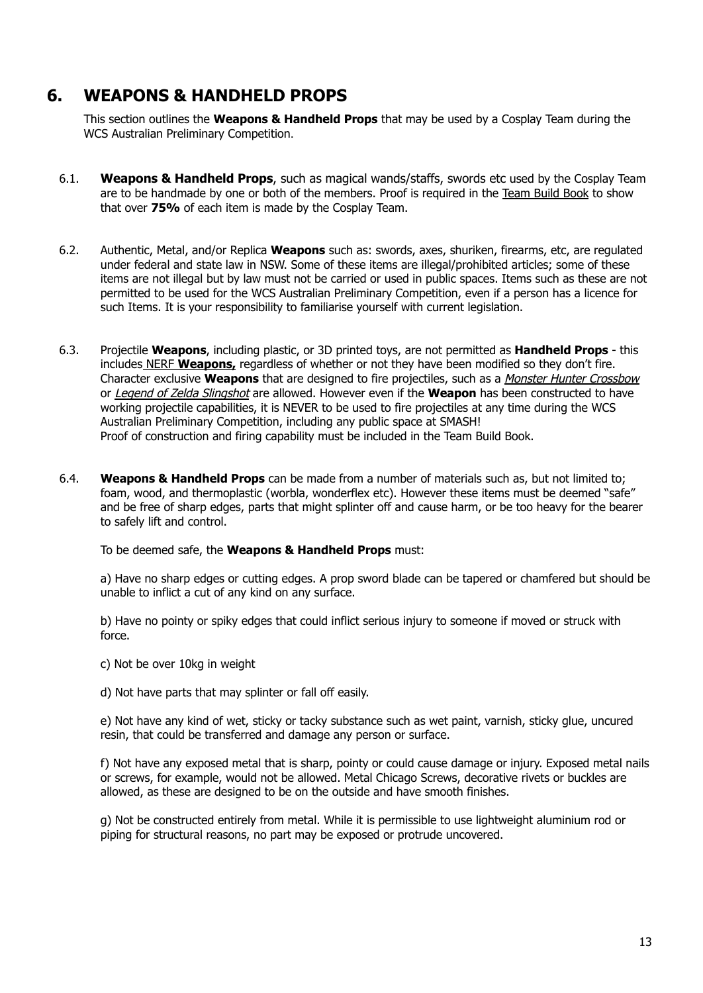# <span id="page-12-0"></span>**6. WEAPONS & HANDHELD PROPS**

This section outlines the **Weapons & Handheld Props** that may be used by a Cosplay Team during the WCS Australian Preliminary Competition.

- 6.1. **Weapons & Handheld Props**, such as magical wands/staffs, swords etc used by the Cosplay Team are to be handmade by one or both of the members. Proof is required in the Team Build Book to show that over **75%** of each item is made by the Cosplay Team.
- 6.2. Authentic, Metal, and/or Replica **Weapons** such as: swords, axes, shuriken, firearms, etc, are regulated under federal and state law in NSW. Some of these items are illegal/prohibited articles; some of these items are not illegal but by law must not be carried or used in public spaces. Items such as these are not permitted to be used for the WCS Australian Preliminary Competition, even if a person has a licence for such Items. It is your responsibility to familiarise yourself with current legislation.
- 6.3. Projectile **Weapons**, including plastic, or 3D printed toys, are not permitted as **Handheld Props** this includes NERF **Weapons,** regardless of whether or not they have been modified so they don't fire. Character exclusive **Weapons** that are designed to fire projectiles, such as a *Monster Hunter Crossbow* or Legend of Zelda Slingshot are allowed. However even if the **Weapon** has been constructed to have working projectile capabilities, it is NEVER to be used to fire projectiles at any time during the WCS Australian Preliminary Competition, including any public space at SMASH! Proof of construction and firing capability must be included in the Team Build Book.
- 6.4. **Weapons & Handheld Props** can be made from a number of materials such as, but not limited to; foam, wood, and thermoplastic (worbla, wonderflex etc). However these items must be deemed "safe" and be free of sharp edges, parts that might splinter off and cause harm, or be too heavy for the bearer to safely lift and control.

To be deemed safe, the **Weapons & Handheld Props** must:

a) Have no sharp edges or cutting edges. A prop sword blade can be tapered or chamfered but should be unable to inflict a cut of any kind on any surface.

b) Have no pointy or spiky edges that could inflict serious injury to someone if moved or struck with force.

c) Not be over 10kg in weight

d) Not have parts that may splinter or fall off easily.

e) Not have any kind of wet, sticky or tacky substance such as wet paint, varnish, sticky glue, uncured resin, that could be transferred and damage any person or surface.

f) Not have any exposed metal that is sharp, pointy or could cause damage or injury. Exposed metal nails or screws, for example, would not be allowed. Metal Chicago Screws, decorative rivets or buckles are allowed, as these are designed to be on the outside and have smooth finishes.

g) Not be constructed entirely from metal. While it is permissible to use lightweight aluminium rod or piping for structural reasons, no part may be exposed or protrude uncovered.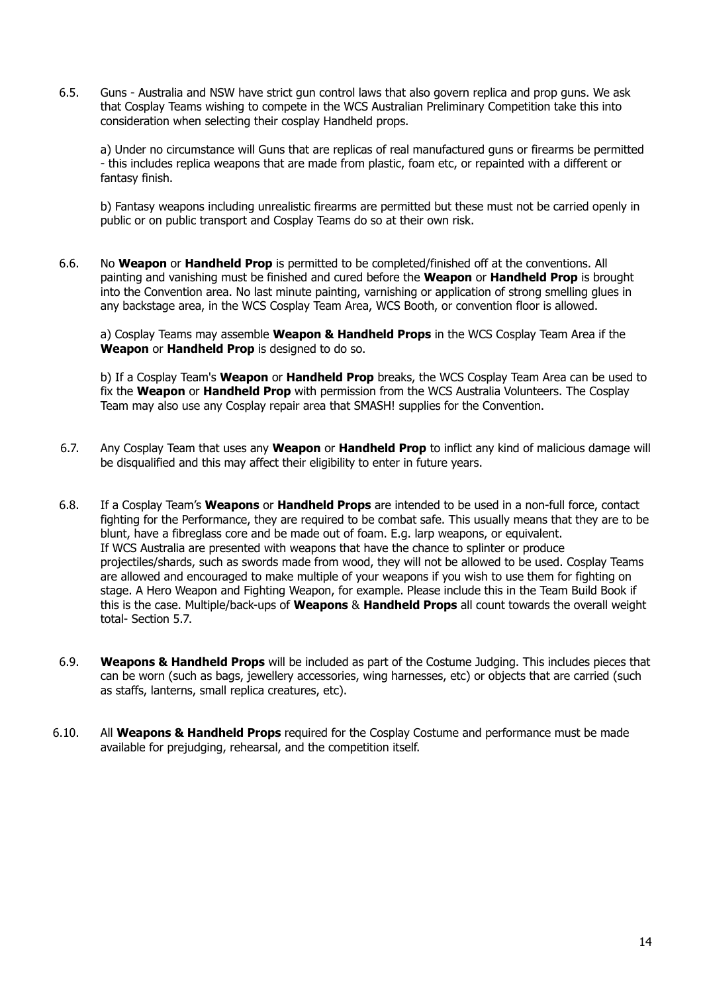6.5. Guns - Australia and NSW have strict gun control laws that also govern replica and prop guns. We ask that Cosplay Teams wishing to compete in the WCS Australian Preliminary Competition take this into consideration when selecting their cosplay Handheld props.

a) Under no circumstance will Guns that are replicas of real manufactured guns or firearms be permitted - this includes replica weapons that are made from plastic, foam etc, or repainted with a different or fantasy finish.

b) Fantasy weapons including unrealistic firearms are permitted but these must not be carried openly in public or on public transport and Cosplay Teams do so at their own risk.

6.6. No **Weapon** or **Handheld Prop** is permitted to be completed/finished off at the conventions. All painting and vanishing must be finished and cured before the **Weapon** or **Handheld Prop** is brought into the Convention area. No last minute painting, varnishing or application of strong smelling glues in any backstage area, in the WCS Cosplay Team Area, WCS Booth, or convention floor is allowed.

a) Cosplay Teams may assemble **Weapon & Handheld Props** in the WCS Cosplay Team Area if the **Weapon** or **Handheld Prop** is designed to do so.

b) If a Cosplay Team's **Weapon** or **Handheld Prop** breaks, the WCS Cosplay Team Area can be used to fix the **Weapon** or **Handheld Prop** with permission from the WCS Australia Volunteers. The Cosplay Team may also use any Cosplay repair area that SMASH! supplies for the Convention.

- 6.7. Any Cosplay Team that uses any **Weapon** or **Handheld Prop** to inflict any kind of malicious damage will be disqualified and this may affect their eligibility to enter in future years.
- 6.8. If a Cosplay Team's **Weapons** or **Handheld Props** are intended to be used in a non-full force, contact fighting for the Performance, they are required to be combat safe. This usually means that they are to be blunt, have a fibreglass core and be made out of foam. E.g. larp weapons, or equivalent. If WCS Australia are presented with weapons that have the chance to splinter or produce projectiles/shards, such as swords made from wood, they will not be allowed to be used. Cosplay Teams are allowed and encouraged to make multiple of your weapons if you wish to use them for fighting on stage. A Hero Weapon and Fighting Weapon, for example. Please include this in the Team Build Book if this is the case. Multiple/back-ups of **Weapons** & **Handheld Props** all count towards the overall weight total- Section 5.7.
- 6.9. **Weapons & Handheld Props** will be included as part of the Costume Judging. This includes pieces that can be worn (such as bags, jewellery accessories, wing harnesses, etc) or objects that are carried (such as staffs, lanterns, small replica creatures, etc).
- 6.10. All **Weapons & Handheld Props** required for the Cosplay Costume and performance must be made available for prejudging, rehearsal, and the competition itself.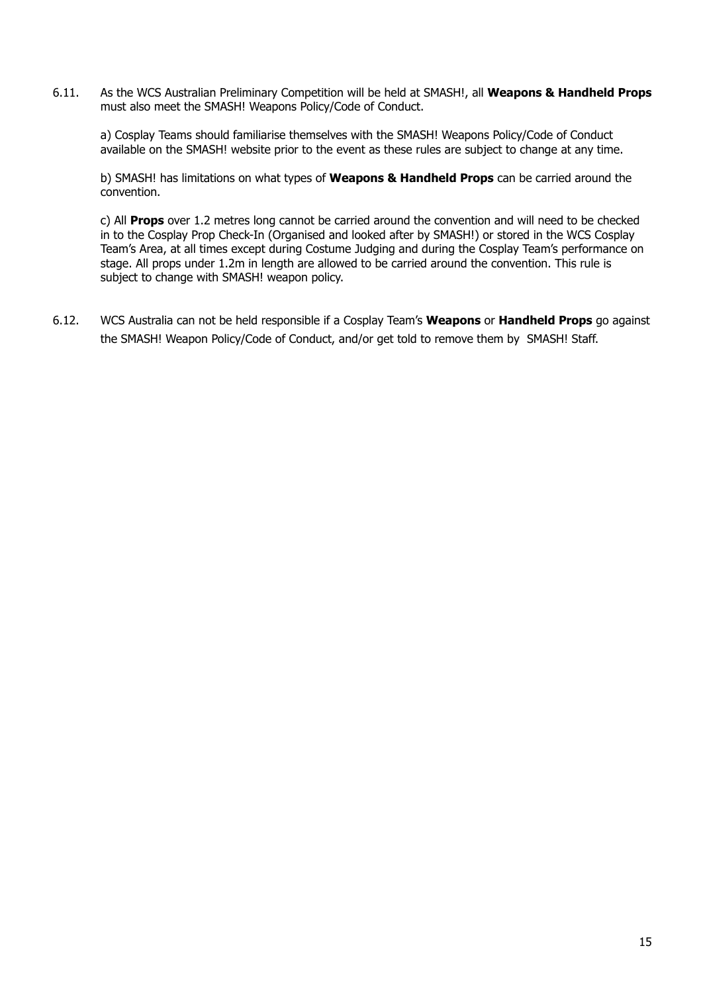6.11. As the WCS Australian Preliminary Competition will be held at SMASH!, all **Weapons & Handheld Props** must also meet the SMASH! Weapons Policy/Code of Conduct.

a) Cosplay Teams should familiarise themselves with the SMASH! Weapons Policy/Code of Conduct available on the SMASH! website prior to the event as these rules are subject to change at any time.

b) SMASH! has limitations on what types of **Weapons & Handheld Props** can be carried around the convention.

c) All **Props** over 1.2 metres long cannot be carried around the convention and will need to be checked in to the Cosplay Prop Check-In (Organised and looked after by SMASH!) or stored in the WCS Cosplay Team's Area, at all times except during Costume Judging and during the Cosplay Team's performance on stage. All props under 1.2m in length are allowed to be carried around the convention. This rule is subject to change with SMASH! weapon policy.

6.12. WCS Australia can not be held responsible if a Cosplay Team's **Weapons** or **Handheld Props** go against the SMASH! Weapon Policy/Code of Conduct, and/or get told to remove them by SMASH! Staff.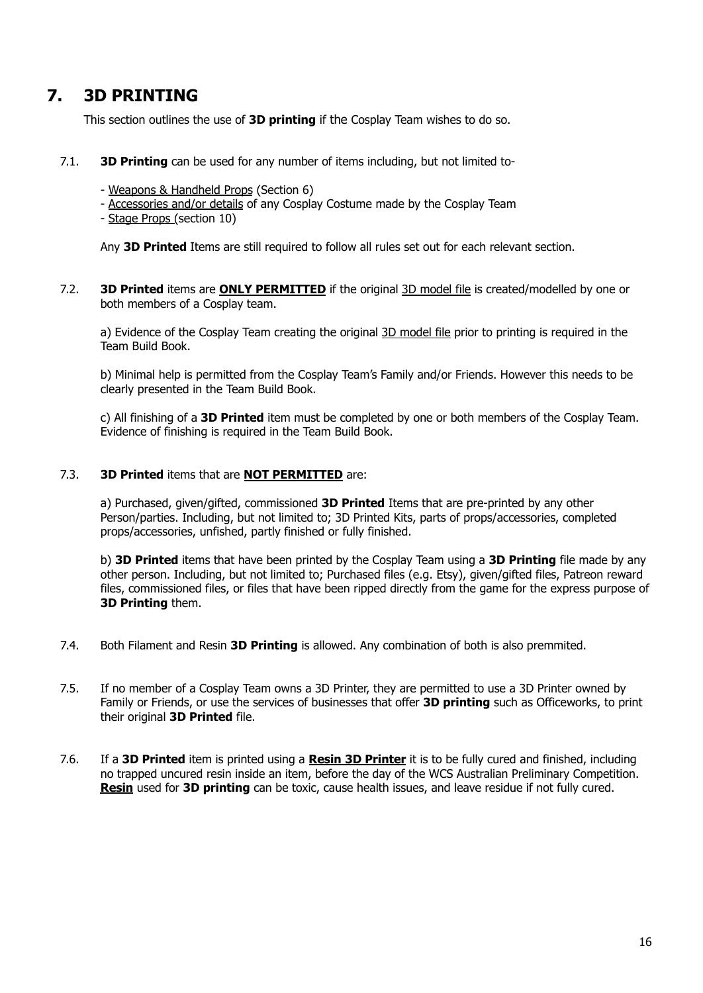# <span id="page-15-0"></span>**7. 3D PRINTING**

This section outlines the use of **3D printing** if the Cosplay Team wishes to do so.

- 7.1. **3D Printing** can be used for any number of items including, but not limited to-
	- Weapons & Handheld Props (Section 6)
	- Accessories and/or details of any Cosplay Costume made by the Cosplay Team
	- Stage Props (section 10)

Any **3D Printed** Items are still required to follow all rules set out for each relevant section.

7.2. **3D Printed** items are **ONLY PERMITTED** if the original 3D model file is created/modelled by one or both members of a Cosplay team.

a) Evidence of the Cosplay Team creating the original 3D model file prior to printing is required in the Team Build Book.

b) Minimal help is permitted from the Cosplay Team's Family and/or Friends. However this needs to be clearly presented in the Team Build Book.

c) All finishing of a **3D Printed** item must be completed by one or both members of the Cosplay Team. Evidence of finishing is required in the Team Build Book.

#### 7.3. **3D Printed** items that are **NOT PERMITTED** are:

a) Purchased, given/gifted, commissioned **3D Printed** Items that are pre-printed by any other Person/parties. Including, but not limited to; 3D Printed Kits, parts of props/accessories, completed props/accessories, unfished, partly finished or fully finished.

b) **3D Printed** items that have been printed by the Cosplay Team using a **3D Printing** file made by any other person. Including, but not limited to; Purchased files (e.g. Etsy), given/gifted files, Patreon reward files, commissioned files, or files that have been ripped directly from the game for the express purpose of **3D Printing** them.

- 7.4. Both Filament and Resin **3D Printing** is allowed. Any combination of both is also premmited.
- 7.5. If no member of a Cosplay Team owns a 3D Printer, they are permitted to use a 3D Printer owned by Family or Friends, or use the services of businesses that offer **3D printing** such as Officeworks, to print their original **3D Printed** file.
- 7.6. If a **3D Printed** item is printed using a **Resin 3D Printer** it is to be fully cured and finished, including no trapped uncured resin inside an item, before the day of the WCS Australian Preliminary Competition. **Resin** used for **3D printing** can be toxic, cause health issues, and leave residue if not fully cured.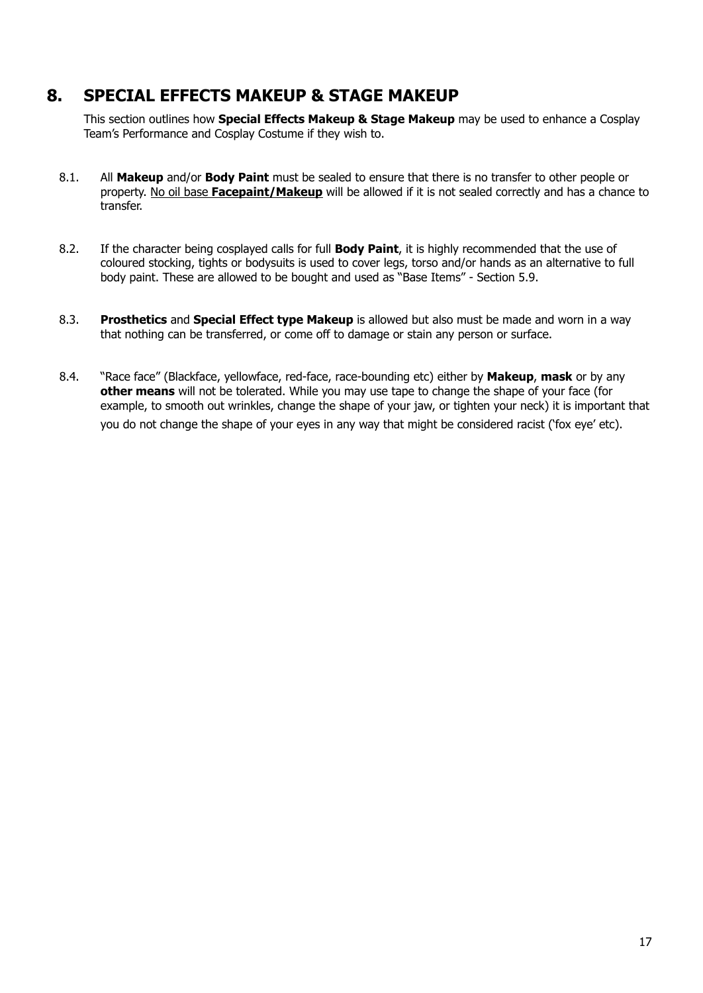# <span id="page-16-0"></span>**8. SPECIAL EFFECTS MAKEUP & STAGE MAKEUP**

This section outlines how **Special Effects Makeup & Stage Makeup** may be used to enhance a Cosplay Team's Performance and Cosplay Costume if they wish to.

- 8.1. All **Makeup** and/or **Body Paint** must be sealed to ensure that there is no transfer to other people or property. No oil base **Facepaint/Makeup** will be allowed if it is not sealed correctly and has a chance to transfer.
- 8.2. If the character being cosplayed calls for full **Body Paint**, it is highly recommended that the use of coloured stocking, tights or bodysuits is used to cover legs, torso and/or hands as an alternative to full body paint. These are allowed to be bought and used as "Base Items" - Section 5.9.
- 8.3. **Prosthetics** and **Special Effect type Makeup** is allowed but also must be made and worn in a way that nothing can be transferred, or come off to damage or stain any person or surface.
- 8.4. "Race face" (Blackface, yellowface, red-face, race-bounding etc) either by **Makeup**, **mask** or by any **other means** will not be tolerated. While you may use tape to change the shape of your face (for example, to smooth out wrinkles, change the shape of your jaw, or tighten your neck) it is important that you do not change the shape of your eyes in any way that might be considered racist ('fox eye' etc).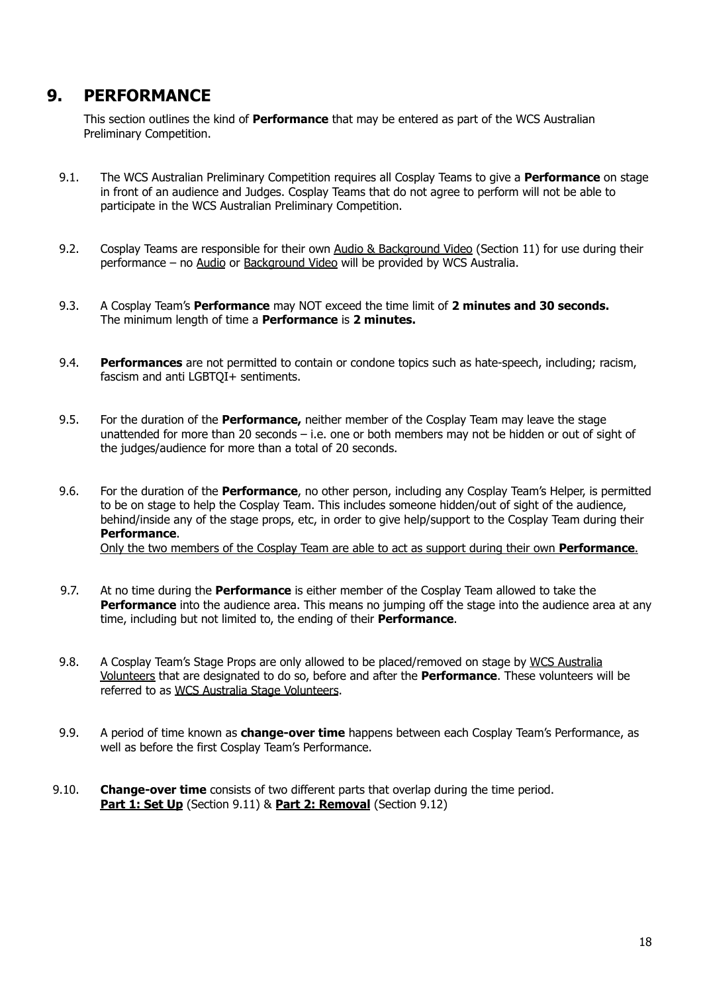# <span id="page-17-0"></span>**9. PERFORMANCE**

This section outlines the kind of **Performance** that may be entered as part of the WCS Australian Preliminary Competition.

- 9.1. The WCS Australian Preliminary Competition requires all Cosplay Teams to give a **Performance** on stage in front of an audience and Judges. Cosplay Teams that do not agree to perform will not be able to participate in the WCS Australian Preliminary Competition.
- 9.2. Cosplay Teams are responsible for their own Audio & Background Video (Section 11) for use during their performance – no Audio or Background Video will be provided by WCS Australia.
- 9.3. A Cosplay Team's **Performance** may NOT exceed the time limit of **2 minutes and 30 seconds.** The minimum length of time a **Performance** is **2 minutes.**
- 9.4. **Performances** are not permitted to contain or condone topics such as hate-speech, including; racism, fascism and anti LGBTOI+ sentiments.
- 9.5. For the duration of the **Performance,** neither member of the Cosplay Team may leave the stage unattended for more than 20 seconds – i.e. one or both members may not be hidden or out of sight of the judges/audience for more than a total of 20 seconds.
- 9.6. For the duration of the **Performance**, no other person, including any Cosplay Team's Helper, is permitted to be on stage to help the Cosplay Team. This includes someone hidden/out of sight of the audience, behind/inside any of the stage props, etc, in order to give help/support to the Cosplay Team during their **Performance**. Only the two members of the Cosplay Team are able to act as support during their own **Performance**.
- 9.7. At no time during the **Performance** is either member of the Cosplay Team allowed to take the **Performance** into the audience area. This means no jumping off the stage into the audience area at any time, including but not limited to, the ending of their **Performance**.
- 9.8. A Cosplay Team's Stage Props are only allowed to be placed/removed on stage by WCS Australia Volunteers that are designated to do so, before and after the **Performance**. These volunteers will be referred to as WCS Australia Stage Volunteers.
- 9.9. A period of time known as **change-over time** happens between each Cosplay Team's Performance, as well as before the first Cosplay Team's Performance.
- 9.10. **Change-over time** consists of two different parts that overlap during the time period. **Part 1: Set Up** (Section 9.11) & **Part 2: Removal** (Section 9.12)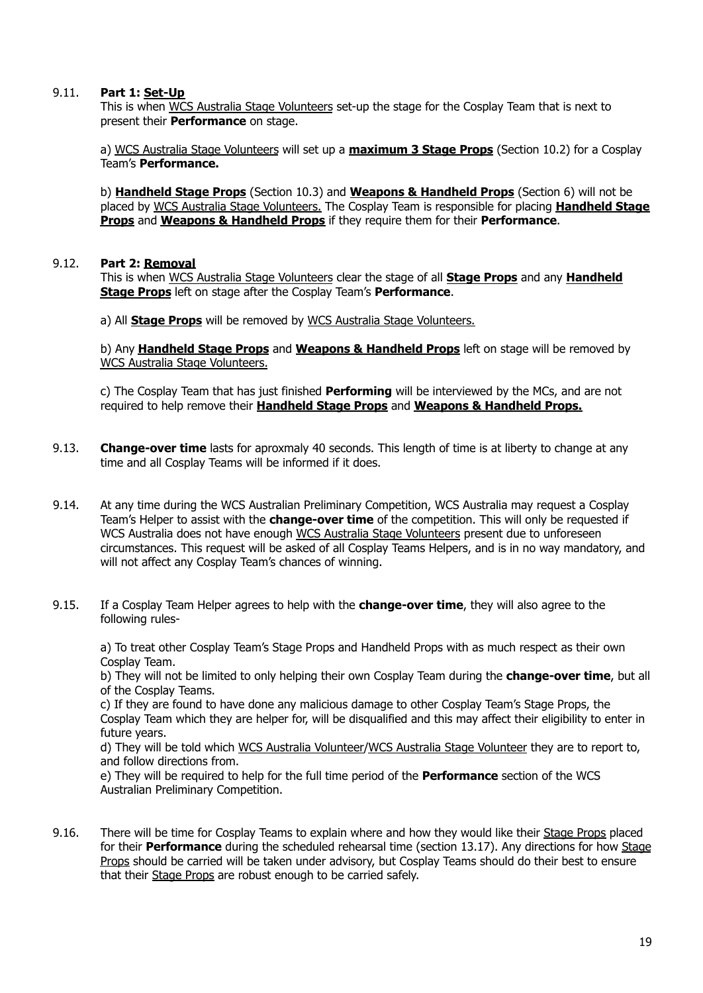### 9.11. **Part 1: Set-Up**

This is when WCS Australia Stage Volunteers set-up the stage for the Cosplay Team that is next to present their **Performance** on stage.

a) WCS Australia Stage Volunteers will set up a **maximum 3 Stage Props** (Section 10.2) for a Cosplay Team's **Performance.**

b) **Handheld Stage Props** (Section 10.3) and **Weapons & Handheld Props** (Section 6) will not be placed by WCS Australia Stage Volunteers. The Cosplay Team is responsible for placing **Handheld Stage Props** and **Weapons & Handheld Props** if they require them for their **Performance**.

### 9.12. **Part 2: Removal**

This is when WCS Australia Stage Volunteers clear the stage of all **Stage Props** and any **Handheld Stage Props** left on stage after the Cosplay Team's **Performance**.

a) All **Stage Props** will be removed by WCS Australia Stage Volunteers.

b) Any **Handheld Stage Props** and **Weapons & Handheld Props** left on stage will be removed by WCS Australia Stage Volunteers.

c) The Cosplay Team that has just finished **Performing** will be interviewed by the MCs, and are not required to help remove their **Handheld Stage Props** and **Weapons & Handheld Props.**

- 9.13. **Change-over time** lasts for aproxmaly 40 seconds. This length of time is at liberty to change at any time and all Cosplay Teams will be informed if it does.
- 9.14. At any time during the WCS Australian Preliminary Competition, WCS Australia may request a Cosplay Team's Helper to assist with the **change-over time** of the competition. This will only be requested if WCS Australia does not have enough WCS Australia Stage Volunteers present due to unforeseen circumstances. This request will be asked of all Cosplay Teams Helpers, and is in no way mandatory, and will not affect any Cosplay Team's chances of winning.
- 9.15. If a Cosplay Team Helper agrees to help with the **change-over time**, they will also agree to the following rules-

a) To treat other Cosplay Team's Stage Props and Handheld Props with as much respect as their own Cosplay Team.

b) They will not be limited to only helping their own Cosplay Team during the **change-over time**, but all of the Cosplay Teams.

c) If they are found to have done any malicious damage to other Cosplay Team's Stage Props, the Cosplay Team which they are helper for, will be disqualified and this may affect their eligibility to enter in future years.

d) They will be told which WCS Australia Volunteer/WCS Australia Stage Volunteer they are to report to, and follow directions from.

e) They will be required to help for the full time period of the **Performance** section of the WCS Australian Preliminary Competition.

9.16. There will be time for Cosplay Teams to explain where and how they would like their Stage Props placed for their **Performance** during the scheduled rehearsal time (section 13.17). Any directions for how Stage Props should be carried will be taken under advisory, but Cosplay Teams should do their best to ensure that their Stage Props are robust enough to be carried safely.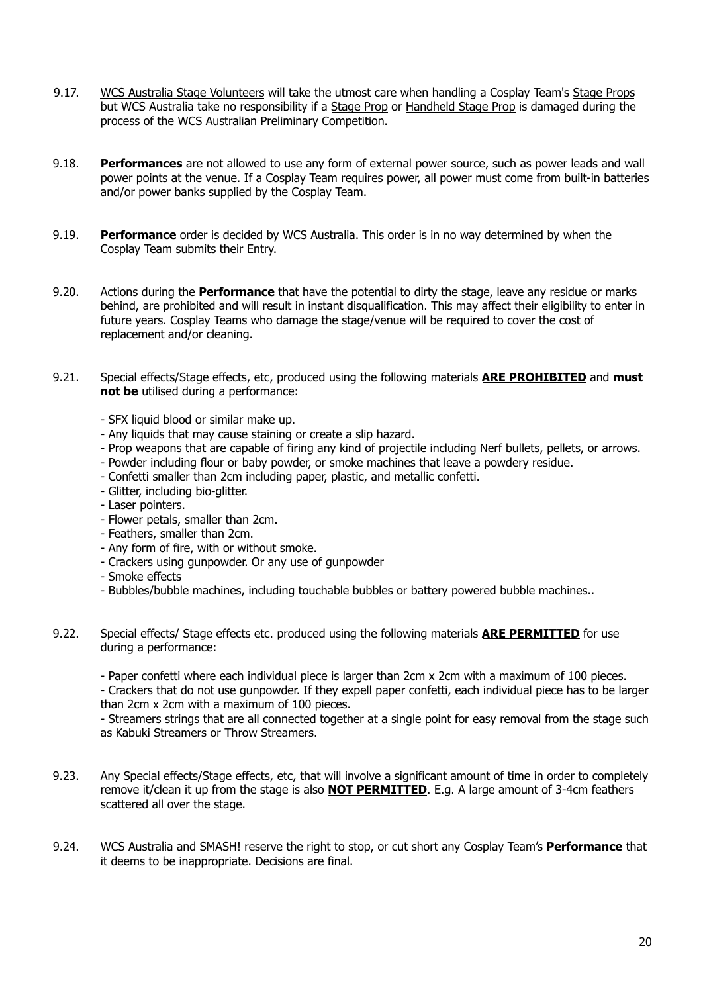- 9.17. WCS Australia Stage Volunteers will take the utmost care when handling a Cosplay Team's Stage Props but WCS Australia take no responsibility if a Stage Prop or Handheld Stage Prop is damaged during the process of the WCS Australian Preliminary Competition.
- 9.18. **Performances** are not allowed to use any form of external power source, such as power leads and wall power points at the venue. If a Cosplay Team requires power, all power must come from built-in batteries and/or power banks supplied by the Cosplay Team.
- 9.19. **Performance** order is decided by WCS Australia. This order is in no way determined by when the Cosplay Team submits their Entry.
- 9.20. Actions during the **Performance** that have the potential to dirty the stage, leave any residue or marks behind, are prohibited and will result in instant disqualification. This may affect their eligibility to enter in future years. Cosplay Teams who damage the stage/venue will be required to cover the cost of replacement and/or cleaning.
- 9.21. Special effects/Stage effects, etc, produced using the following materials **ARE PROHIBITED** and **must not be** utilised during a performance:
	- SFX liquid blood or similar make up.
	- Any liquids that may cause staining or create a slip hazard.
	- Prop weapons that are capable of firing any kind of projectile including Nerf bullets, pellets, or arrows.
	- Powder including flour or baby powder, or smoke machines that leave a powdery residue.
	- Confetti smaller than 2cm including paper, plastic, and metallic confetti.
	- Glitter, including bio-glitter.
	- Laser pointers.
	- Flower petals, smaller than 2cm.
	- Feathers, smaller than 2cm.
	- Any form of fire, with or without smoke.
	- Crackers using gunpowder. Or any use of gunpowder
	- Smoke effects
	- Bubbles/bubble machines, including touchable bubbles or battery powered bubble machines..
- 9.22. Special effects/ Stage effects etc. produced using the following materials **ARE PERMITTED** for use during a performance:

- Paper confetti where each individual piece is larger than 2cm x 2cm with a maximum of 100 pieces.

- Crackers that do not use gunpowder. If they expell paper confetti, each individual piece has to be larger than 2cm x 2cm with a maximum of 100 pieces.

- Streamers strings that are all connected together at a single point for easy removal from the stage such as Kabuki Streamers or Throw Streamers.

- 9.23. Any Special effects/Stage effects, etc, that will involve a significant amount of time in order to completely remove it/clean it up from the stage is also **NOT PERMITTED**. E.g. A large amount of 3-4cm feathers scattered all over the stage.
- 9.24. WCS Australia and SMASH! reserve the right to stop, or cut short any Cosplay Team's **Performance** that it deems to be inappropriate. Decisions are final.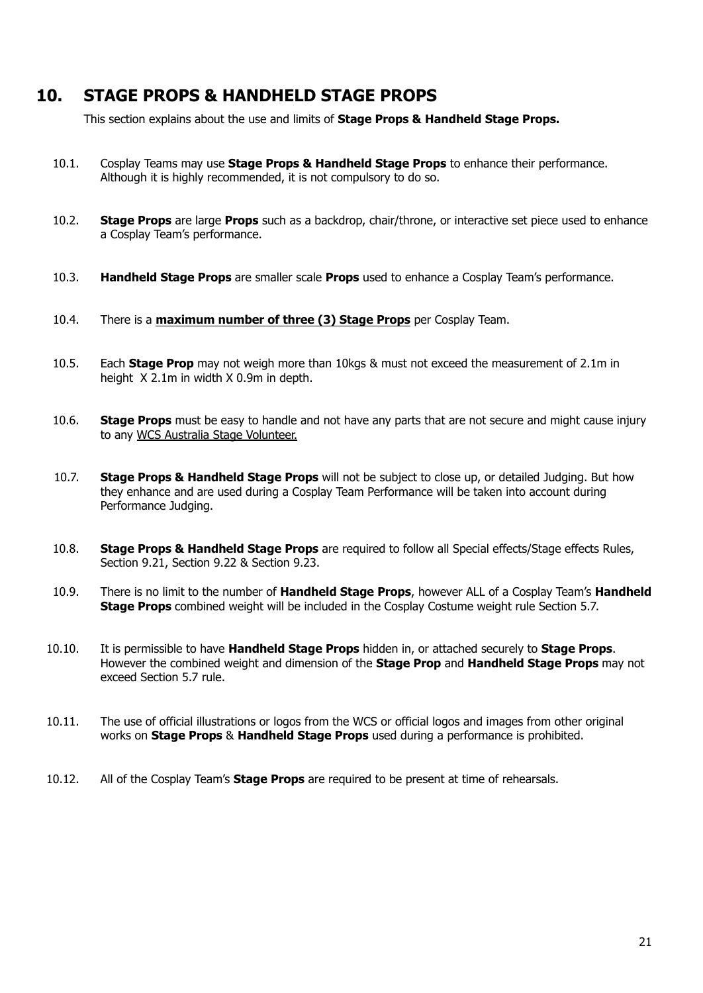## <span id="page-20-0"></span>**10. STAGE PROPS & HANDHELD STAGE PROPS**

This section explains about the use and limits of **Stage Props & Handheld Stage Props.**

- 10.1. Cosplay Teams may use **Stage Props & Handheld Stage Props** to enhance their performance. Although it is highly recommended, it is not compulsory to do so.
- 10.2. **Stage Props** are large **Props** such as a backdrop, chair/throne, or interactive set piece used to enhance a Cosplay Team's performance.
- 10.3. **Handheld Stage Props** are smaller scale **Props** used to enhance a Cosplay Team's performance.
- 10.4. There is a **maximum number of three (3) Stage Props** per Cosplay Team.
- 10.5. Each **Stage Prop** may not weigh more than 10kgs & must not exceed the measurement of 2.1m in height X 2.1m in width X 0.9m in depth.
- 10.6. **Stage Props** must be easy to handle and not have any parts that are not secure and might cause injury to any WCS Australia Stage Volunteer.
- 10.7. **Stage Props & Handheld Stage Props** will not be subject to close up, or detailed Judging. But how they enhance and are used during a Cosplay Team Performance will be taken into account during Performance Judging.
- 10.8. **Stage Props & Handheld Stage Props** are required to follow all Special effects/Stage effects Rules, Section 9.21, Section 9.22 & Section 9.23.
- 10.9. There is no limit to the number of **Handheld Stage Props**, however ALL of a Cosplay Team's **Handheld Stage Props** combined weight will be included in the Cosplay Costume weight rule Section 5.7.
- 10.10. It is permissible to have **Handheld Stage Props** hidden in, or attached securely to **Stage Props**. However the combined weight and dimension of the **Stage Prop** and **Handheld Stage Props** may not exceed Section 5.7 rule.
- 10.11. The use of official illustrations or logos from the WCS or official logos and images from other original works on **Stage Props** & **Handheld Stage Props** used during a performance is prohibited.
- 10.12. All of the Cosplay Team's **Stage Props** are required to be present at time of rehearsals.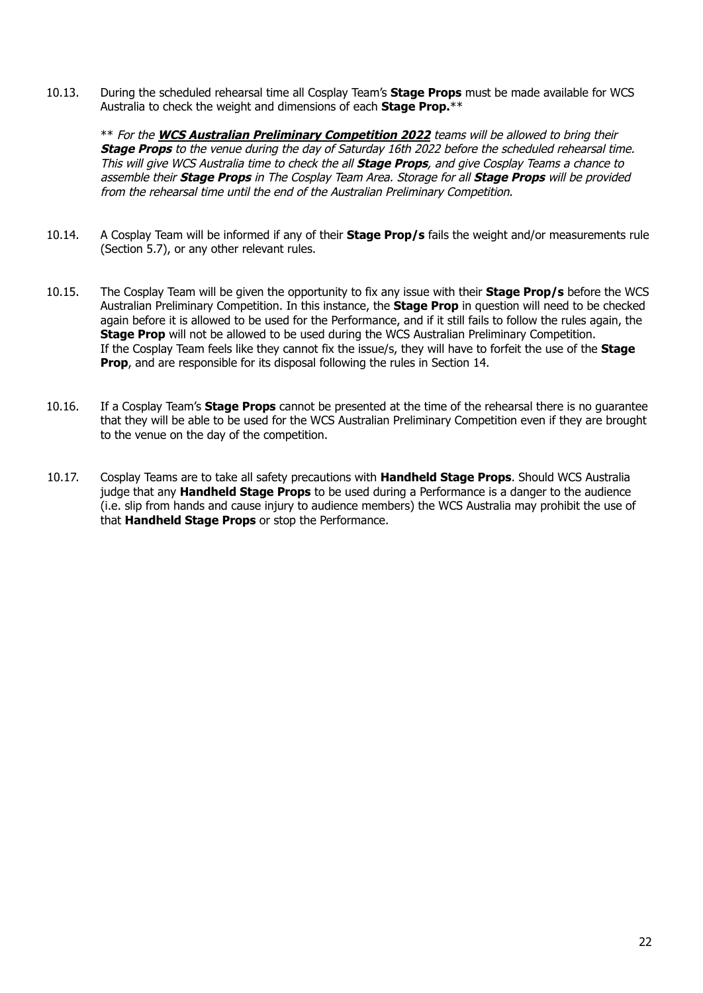10.13. During the scheduled rehearsal time all Cosplay Team's **Stage Props** must be made available for WCS Australia to check the weight and dimensions of each **Stage Prop.**\*\*

\*\* For the **WCS Australian Preliminary Competition 2022** teams will be allowed to bring their **Stage Props** to the venue during the day of Saturday 16th 2022 before the scheduled rehearsal time. This will give WCS Australia time to check the all **Stage Props**, and give Cosplay Teams <sup>a</sup> chance to assemble their **Stage Props** in The Cosplay Team Area. Storage for all **Stage Props** will be provided from the rehearsal time until the end of the Australian Preliminary Competition.

- 10.14. A Cosplay Team will be informed if any of their **Stage Prop/s** fails the weight and/or measurements rule (Section 5.7), or any other relevant rules.
- 10.15. The Cosplay Team will be given the opportunity to fix any issue with their **Stage Prop/s** before the WCS Australian Preliminary Competition. In this instance, the **Stage Prop** in question will need to be checked again before it is allowed to be used for the Performance, and if it still fails to follow the rules again, the **Stage Prop** will not be allowed to be used during the WCS Australian Preliminary Competition. If the Cosplay Team feels like they cannot fix the issue/s, they will have to forfeit the use of the **Stage Prop**, and are responsible for its disposal following the rules in Section 14.
- 10.16. If a Cosplay Team's **Stage Props** cannot be presented at the time of the rehearsal there is no guarantee that they will be able to be used for the WCS Australian Preliminary Competition even if they are brought to the venue on the day of the competition.
- 10.17. Cosplay Teams are to take all safety precautions with **Handheld Stage Props**. Should WCS Australia judge that any **Handheld Stage Props** to be used during a Performance is a danger to the audience (i.e. slip from hands and cause injury to audience members) the WCS Australia may prohibit the use of that **Handheld Stage Props** or stop the Performance.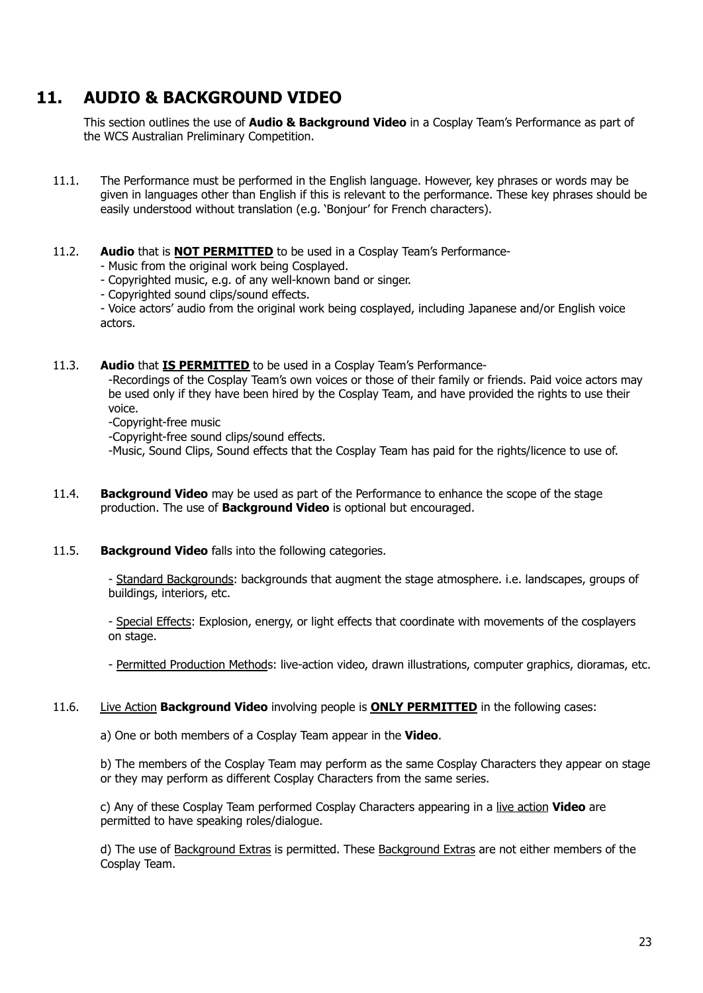# <span id="page-22-0"></span>**11. AUDIO & BACKGROUND VIDEO**

This section outlines the use of **Audio & Background Video** in a Cosplay Team's Performance as part of the WCS Australian Preliminary Competition.

- 11.1. The Performance must be performed in the English language. However, key phrases or words may be given in languages other than English if this is relevant to the performance. These key phrases should be easily understood without translation (e.g. 'Bonjour' for French characters).
- 11.2. **Audio** that is **NOT PERMITTED** to be used in a Cosplay Team's Performance-

- Music from the original work being Cosplayed.

- Copyrighted music, e.g. of any well-known band or singer.
- Copyrighted sound clips/sound effects.

- Voice actors' audio from the original work being cosplayed, including Japanese and/or English voice actors.

11.3. **Audio** that **IS PERMITTED** to be used in a Cosplay Team's Performance-

-Recordings of the Cosplay Team's own voices or those of their family or friends. Paid voice actors may be used only if they have been hired by the Cosplay Team, and have provided the rights to use their voice.

-Copyright-free music

-Copyright-free sound clips/sound effects.

-Music, Sound Clips, Sound effects that the Cosplay Team has paid for the rights/licence to use of.

- 11.4. **Background Video** may be used as part of the Performance to enhance the scope of the stage production. The use of **Background Video** is optional but encouraged.
- 11.5. **Background Video** falls into the following categories.

- Standard Backgrounds: backgrounds that augment the stage atmosphere. i.e. landscapes, groups of buildings, interiors, etc.

- Special Effects: Explosion, energy, or light effects that coordinate with movements of the cosplayers on stage.

- Permitted Production Methods: live-action video, drawn illustrations, computer graphics, dioramas, etc.

#### 11.6. Live Action **Background Video** involving people is **ONLY PERMITTED** in the following cases:

a) One or both members of a Cosplay Team appear in the **Video**.

b) The members of the Cosplay Team may perform as the same Cosplay Characters they appear on stage or they may perform as different Cosplay Characters from the same series.

c) Any of these Cosplay Team performed Cosplay Characters appearing in a live action **Video** are permitted to have speaking roles/dialogue.

d) The use of Background Extras is permitted. These Background Extras are not either members of the Cosplay Team.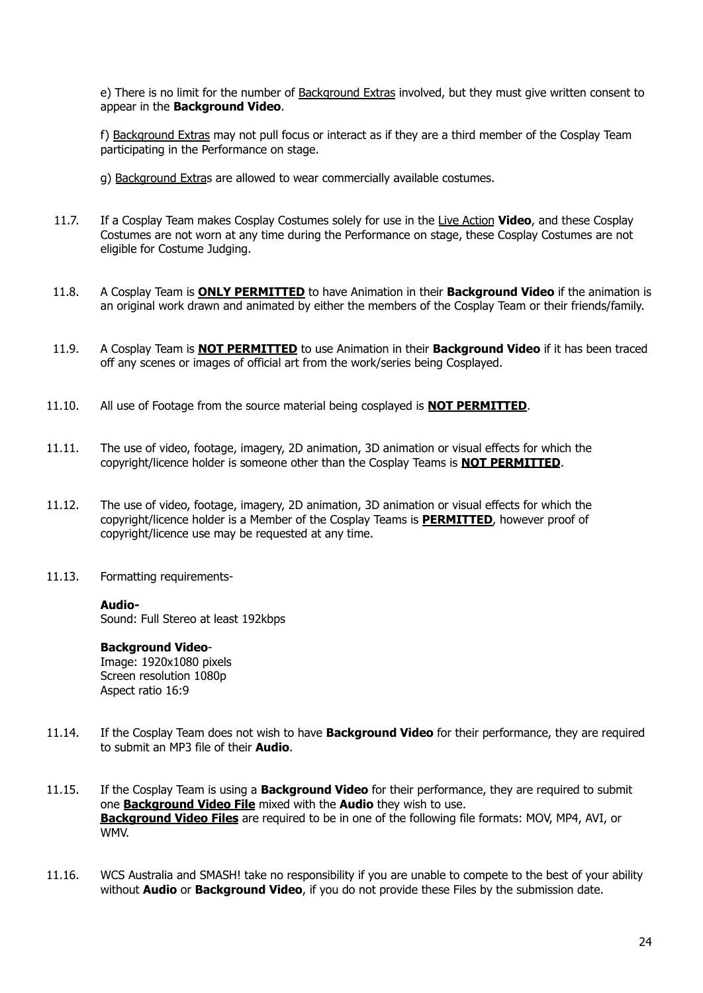e) There is no limit for the number of Background Extras involved, but they must give written consent to appear in the **Background Video**.

f) Background Extras may not pull focus or interact as if they are a third member of the Cosplay Team participating in the Performance on stage.

g) Background Extras are allowed to wear commercially available costumes.

- 11.7. If a Cosplay Team makes Cosplay Costumes solely for use in the Live Action **Video**, and these Cosplay Costumes are not worn at any time during the Performance on stage, these Cosplay Costumes are not eligible for Costume Judging.
- 11.8. A Cosplay Team is **ONLY PERMITTED** to have Animation in their **Background Video** if the animation is an original work drawn and animated by either the members of the Cosplay Team or their friends/family.
- 11.9. A Cosplay Team is **NOT PERMITTED** to use Animation in their **Background Video** if it has been traced off any scenes or images of official art from the work/series being Cosplayed.
- 11.10. All use of Footage from the source material being cosplayed is **NOT PERMITTED**.
- 11.11. The use of video, footage, imagery, 2D animation, 3D animation or visual effects for which the copyright/licence holder is someone other than the Cosplay Teams is **NOT PERMITTED**.
- 11.12. The use of video, footage, imagery, 2D animation, 3D animation or visual effects for which the copyright/licence holder is a Member of the Cosplay Teams is **PERMITTED**, however proof of copyright/licence use may be requested at any time.
- 11.13. Formatting requirements-

#### **Audio-**

Sound: Full Stereo at least 192kbps

#### **Background Video**-

Image: 1920x1080 pixels Screen resolution 1080p Aspect ratio 16:9

- 11.14. If the Cosplay Team does not wish to have **Background Video** for their performance, they are required to submit an MP3 file of their **Audio**.
- 11.15. If the Cosplay Team is using a **Background Video** for their performance, they are required to submit one **Background Video File** mixed with the **Audio** they wish to use. **Background Video Files** are required to be in one of the following file formats: MOV, MP4, AVI, or WMV.
- 11.16. WCS Australia and SMASH! take no responsibility if you are unable to compete to the best of your ability without **Audio** or **Background Video**, if you do not provide these Files by the submission date.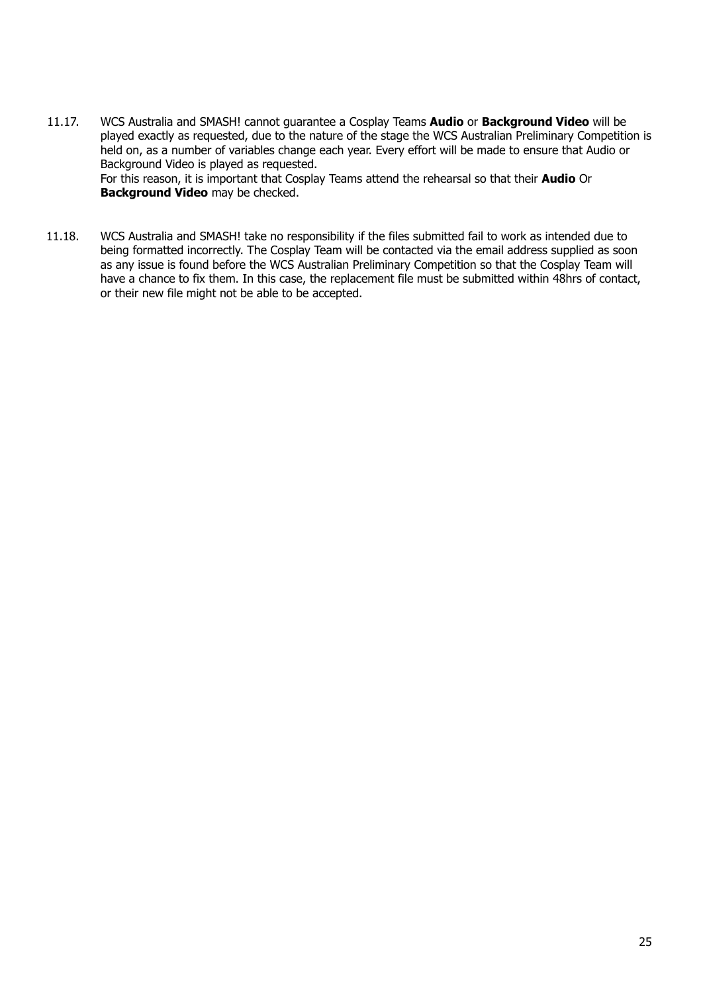11.17. WCS Australia and SMASH! cannot guarantee a Cosplay Teams **Audio** or **Background Video** will be played exactly as requested, due to the nature of the stage the WCS Australian Preliminary Competition is held on, as a number of variables change each year. Every effort will be made to ensure that Audio or Background Video is played as requested. For this reason, it is important that Cosplay Teams attend the rehearsal so that their **Audio** Or

**Background Video** may be checked.

11.18. WCS Australia and SMASH! take no responsibility if the files submitted fail to work as intended due to being formatted incorrectly. The Cosplay Team will be contacted via the email address supplied as soon as any issue is found before the WCS Australian Preliminary Competition so that the Cosplay Team will have a chance to fix them. In this case, the replacement file must be submitted within 48hrs of contact, or their new file might not be able to be accepted.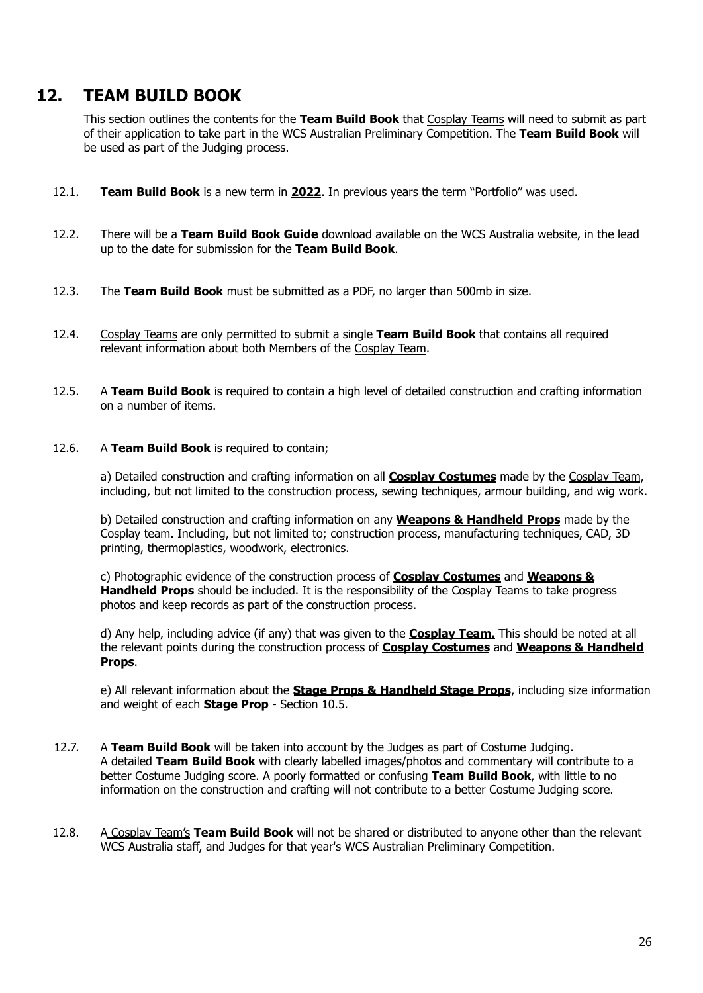## <span id="page-25-0"></span>**12. TEAM BUILD BOOK**

This section outlines the contents for the **Team Build Book** that Cosplay Teams will need to submit as part of their application to take part in the WCS Australian Preliminary Competition. The **Team Build Book** will be used as part of the Judging process.

- 12.1. **Team Build Book** is a new term in **2022**. In previous years the term "Portfolio" was used.
- 12.2. There will be a **Team Build Book Guide** download available on the WCS Australia website, in the lead up to the date for submission for the **Team Build Book**.
- 12.3. The **Team Build Book** must be submitted as a PDF, no larger than 500mb in size.
- 12.4. Cosplay Teams are only permitted to submit a single **Team Build Book** that contains all required relevant information about both Members of the Cosplay Team.
- 12.5. A **Team Build Book** is required to contain a high level of detailed construction and crafting information on a number of items.
- 12.6. A **Team Build Book** is required to contain;

a) Detailed construction and crafting information on all **Cosplay Costumes** made by the Cosplay Team, including, but not limited to the construction process, sewing techniques, armour building, and wig work.

b) Detailed construction and crafting information on any **Weapons & Handheld Props** made by the Cosplay team. Including, but not limited to; construction process, manufacturing techniques, CAD, 3D printing, thermoplastics, woodwork, electronics.

c) Photographic evidence of the construction process of **Cosplay Costumes** and **Weapons & Handheld Props** should be included. It is the responsibility of the Cosplay Teams to take progress photos and keep records as part of the construction process.

d) Any help, including advice (if any) that was given to the **Cosplay Team.** This should be noted at all the relevant points during the construction process of **Cosplay Costumes** and **Weapons & Handheld Props**.

e) All relevant information about the **Stage Props & Handheld Stage Props**, including size information and weight of each **Stage Prop** - Section 10.5.

- 12.7. A **Team Build Book** will be taken into account by the Judges as part of Costume Judging. A detailed **Team Build Book** with clearly labelled images/photos and commentary will contribute to a better Costume Judging score. A poorly formatted or confusing **Team Build Book**, with little to no information on the construction and crafting will not contribute to a better Costume Judging score.
- 12.8. A Cosplay Team's **Team Build Book** will not be shared or distributed to anyone other than the relevant WCS Australia staff, and Judges for that year's WCS Australian Preliminary Competition.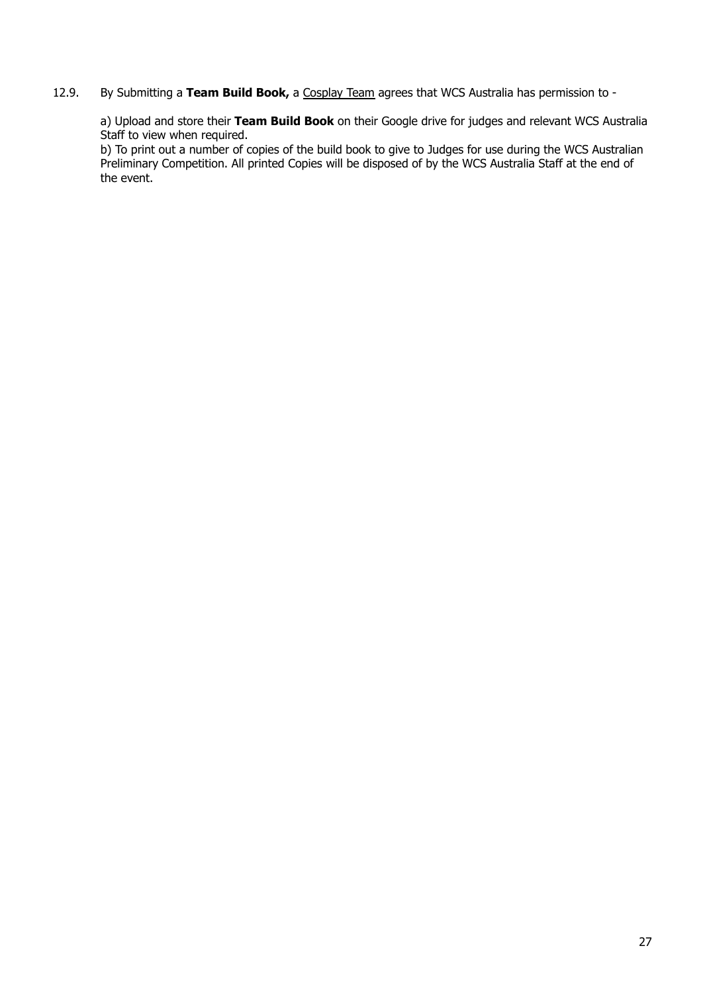12.9. By Submitting a **Team Build Book,** a Cosplay Team agrees that WCS Australia has permission to -

a) Upload and store their **Team Build Book** on their Google drive for judges and relevant WCS Australia Staff to view when required.

b) To print out a number of copies of the build book to give to Judges for use during the WCS Australian Preliminary Competition. All printed Copies will be disposed of by the WCS Australia Staff at the end of the event.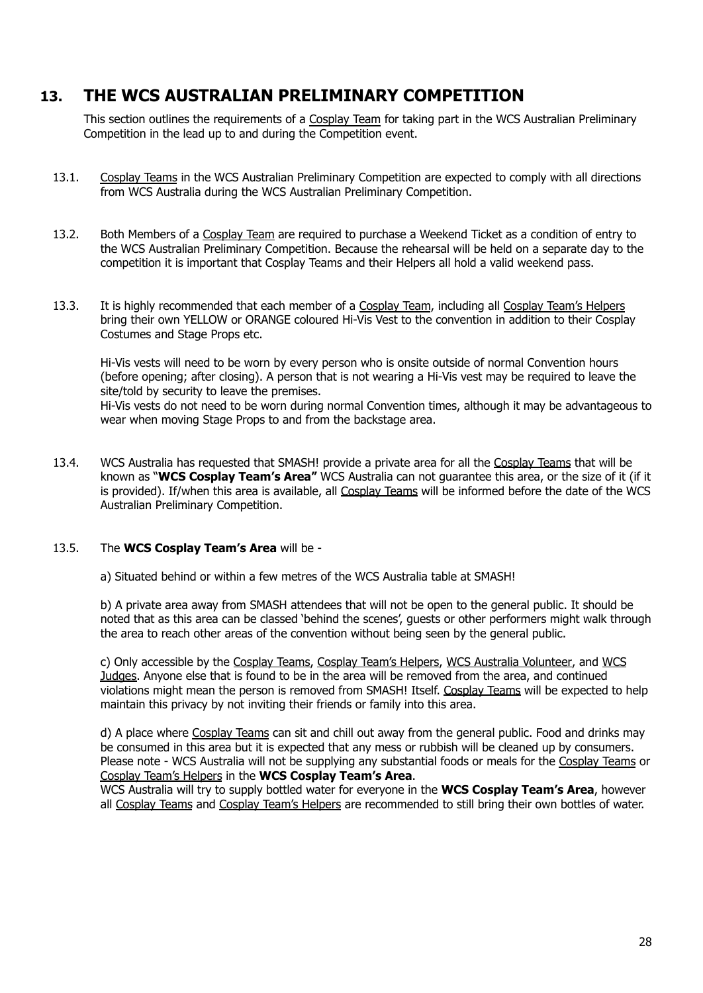## <span id="page-27-0"></span>**13. THE WCS AUSTRALIAN PRELIMINARY COMPETITION**

This section outlines the requirements of a Cosplay Team for taking part in the WCS Australian Preliminary Competition in the lead up to and during the Competition event.

- 13.1. Cosplay Teams in the WCS Australian Preliminary Competition are expected to comply with all directions from WCS Australia during the WCS Australian Preliminary Competition.
- 13.2. Both Members of a Cosplay Team are required to purchase a Weekend Ticket as a condition of entry to the WCS Australian Preliminary Competition. Because the rehearsal will be held on a separate day to the competition it is important that Cosplay Teams and their Helpers all hold a valid weekend pass.
- 13.3. It is highly recommended that each member of a Cosplay Team, including all Cosplay Team's Helpers bring their own YELLOW or ORANGE coloured Hi-Vis Vest to the convention in addition to their Cosplay Costumes and Stage Props etc.

Hi-Vis vests will need to be worn by every person who is onsite outside of normal Convention hours (before opening; after closing). A person that is not wearing a Hi-Vis vest may be required to leave the site/told by security to leave the premises. Hi-Vis vests do not need to be worn during normal Convention times, although it may be advantageous to

wear when moving Stage Props to and from the backstage area.

13.4. WCS Australia has requested that SMASH! provide a private area for all the Cosplay Teams that will be known as "**WCS Cosplay Team's Area"** WCS Australia can not guarantee this area, or the size of it (if it is provided). If/when this area is available, all Cosplay Teams will be informed before the date of the WCS Australian Preliminary Competition.

#### 13.5. The **WCS Cosplay Team's Area** will be -

a) Situated behind or within a few metres of the WCS Australia table at SMASH!

b) A private area away from SMASH attendees that will not be open to the general public. It should be noted that as this area can be classed 'behind the scenes', guests or other performers might walk through the area to reach other areas of the convention without being seen by the general public.

c) Only accessible by the Cosplay Teams, Cosplay Team's Helpers, WCS Australia Volunteer, and WCS Judges. Anyone else that is found to be in the area will be removed from the area, and continued violations might mean the person is removed from SMASH! Itself. Cosplay Teams will be expected to help maintain this privacy by not inviting their friends or family into this area.

d) A place where Cosplay Teams can sit and chill out away from the general public. Food and drinks may be consumed in this area but it is expected that any mess or rubbish will be cleaned up by consumers. Please note - WCS Australia will not be supplying any substantial foods or meals for the Cosplay Teams or Cosplay Team's Helpers in the **WCS Cosplay Team's Area**.

WCS Australia will try to supply bottled water for everyone in the **WCS Cosplay Team's Area**, however all Cosplay Teams and Cosplay Team's Helpers are recommended to still bring their own bottles of water.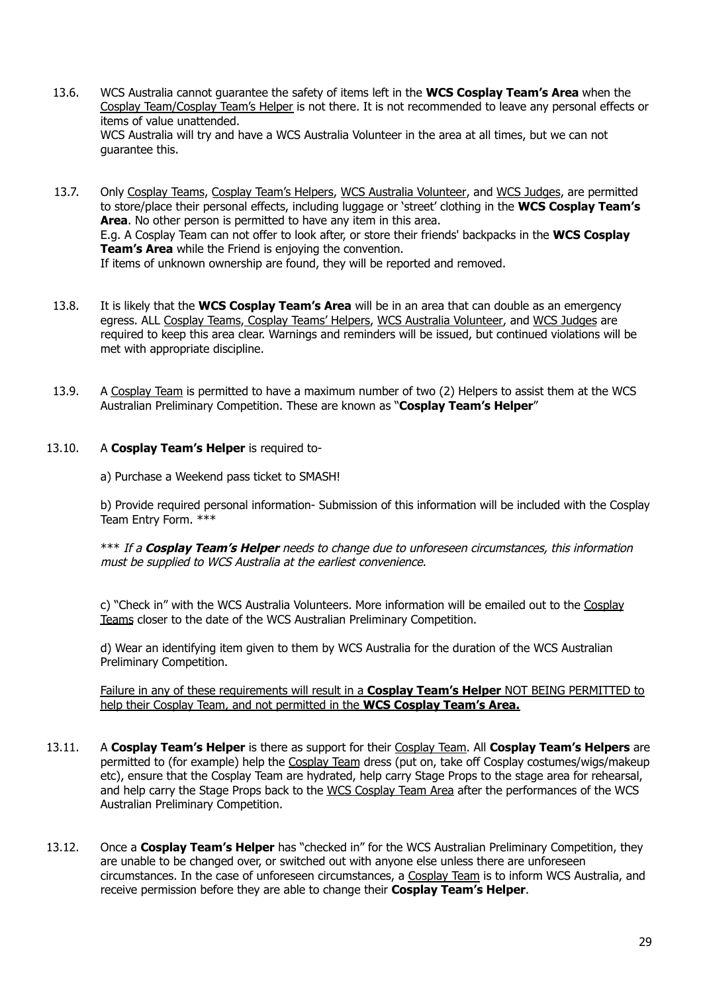- 13.6. WCS Australia cannot guarantee the safety of items left in the **WCS Cosplay Team's Area** when the Cosplay Team/Cosplay Team's Helper is not there. It is not recommended to leave any personal effects or items of value unattended. WCS Australia will try and have a WCS Australia Volunteer in the area at all times, but we can not guarantee this.
- 13.7. Only Cosplay Teams, Cosplay Team's Helpers, WCS Australia Volunteer, and WCS Judges, are permitted to store/place their personal effects, including luggage or 'street' clothing in the **WCS Cosplay Team's Area**. No other person is permitted to have any item in this area. E.g. A Cosplay Team can not offer to look after, or store their friends' backpacks in the **WCS Cosplay Team's Area** while the Friend is enjoying the convention. If items of unknown ownership are found, they will be reported and removed.
- 13.8. It is likely that the **WCS Cosplay Team's Area** will be in an area that can double as an emergency egress. ALL Cosplay Teams, Cosplay Teams' Helpers, WCS Australia Volunteer, and WCS Judges are required to keep this area clear. Warnings and reminders will be issued, but continued violations will be met with appropriate discipline.
- 13.9. A Cosplay Team is permitted to have a maximum number of two (2) Helpers to assist them at the WCS Australian Preliminary Competition. These are known as "**Cosplay Team's Helper**"

#### 13.10. A **Cosplay Team's Helper** is required to-

a) Purchase a Weekend pass ticket to SMASH!

b) Provide required personal information- Submission of this information will be included with the Cosplay Team Entry Form. \*\*\*

\*\*\* If <sup>a</sup> **Cosplay Team's Helper** needs to change due to unforeseen circumstances, this information must be supplied to WCS Australia at the earliest convenience.

c) "Check in" with the WCS Australia Volunteers. More information will be emailed out to the Cosplay Teams closer to the date of the WCS Australian Preliminary Competition.

d) Wear an identifying item given to them by WCS Australia for the duration of the WCS Australian Preliminary Competition.

Failure in any of these requirements will result in a **Cosplay Team's Helper** NOT BEING PERMITTED to help their Cosplay Team, and not permitted in the **WCS Cosplay Team's Area.**

- 13.11. A **Cosplay Team's Helper** is there as support for their Cosplay Team. All **Cosplay Team's Helpers** are permitted to (for example) help the Cosplay Team dress (put on, take off Cosplay costumes/wigs/makeup etc), ensure that the Cosplay Team are hydrated, help carry Stage Props to the stage area for rehearsal, and help carry the Stage Props back to the WCS Cosplay Team Area after the performances of the WCS Australian Preliminary Competition.
- 13.12. Once a **Cosplay Team's Helper** has "checked in" for the WCS Australian Preliminary Competition, they are unable to be changed over, or switched out with anyone else unless there are unforeseen circumstances. In the case of unforeseen circumstances, a Cosplay Team is to inform WCS Australia, and receive permission before they are able to change their **Cosplay Team's Helper**.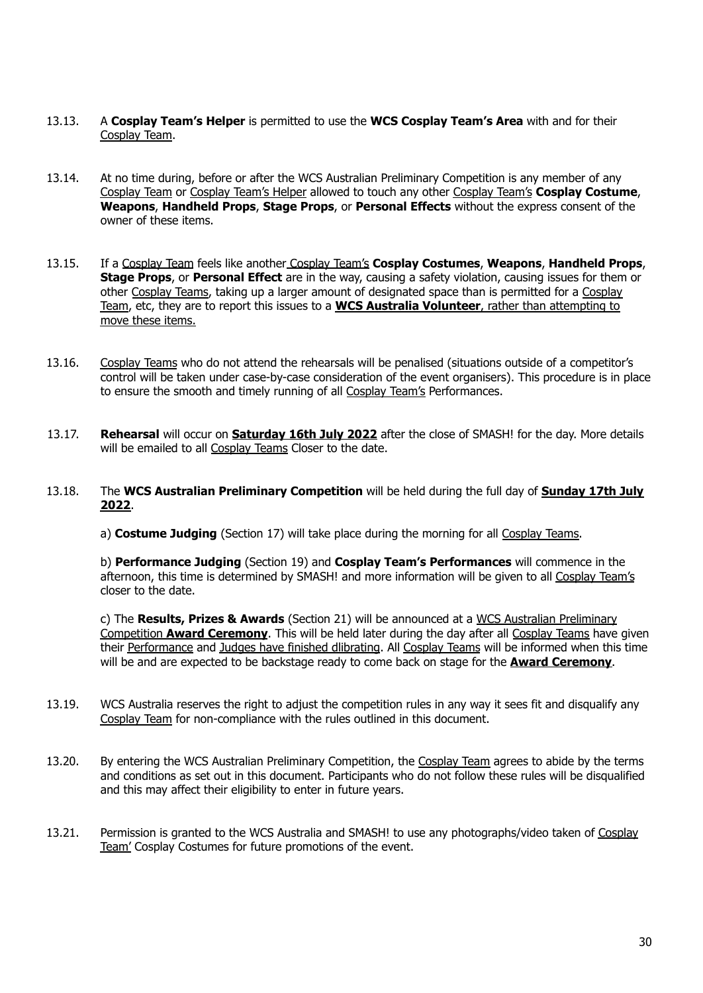- 13.13. A **Cosplay Team's Helper** is permitted to use the **WCS Cosplay Team's Area** with and for their Cosplay Team.
- 13.14. At no time during, before or after the WCS Australian Preliminary Competition is any member of any Cosplay Team or Cosplay Team's Helper allowed to touch any other Cosplay Team's **Cosplay Costume**, **Weapons**, **Handheld Props**, **Stage Props**, or **Personal Effects** without the express consent of the owner of these items.
- 13.15. If a Cosplay Team feels like another Cosplay Team's **Cosplay Costumes**, **Weapons**, **Handheld Props**, **Stage Props**, or **Personal Effect** are in the way, causing a safety violation, causing issues for them or other Cosplay Teams, taking up a larger amount of designated space than is permitted for a Cosplay Team, etc, they are to report this issues to a **WCS Australia Volunteer**, rather than attempting to move these items.
- 13.16. Cosplay Teams who do not attend the rehearsals will be penalised (situations outside of a competitor's control will be taken under case-by-case consideration of the event organisers). This procedure is in place to ensure the smooth and timely running of all Cosplay Team's Performances.
- 13.17. **Rehearsal** will occur on **Saturday 16th July 2022** after the close of SMASH! for the day. More details will be emailed to all Cosplay Teams Closer to the date.
- 13.18. The **WCS Australian Preliminary Competition** will be held during the full day of **Sunday 17th July 2022**.
	- a) **Costume Judging** (Section 17) will take place during the morning for all Cosplay Teams.

b) **Performance Judging** (Section 19) and **Cosplay Team's Performances** will commence in the afternoon, this time is determined by SMASH! and more information will be given to all Cosplay Team's closer to the date.

c) The **Results, Prizes & Awards** (Section 21) will be announced at a WCS Australian Preliminary Competition **Award Ceremony**. This will be held later during the day after all Cosplay Teams have given their Performance and Judges have finished dlibrating. All Cosplay Teams will be informed when this time will be and are expected to be backstage ready to come back on stage for the **Award Ceremony**.

- 13.19. WCS Australia reserves the right to adjust the competition rules in any way it sees fit and disqualify any Cosplay Team for non-compliance with the rules outlined in this document.
- 13.20. By entering the WCS Australian Preliminary Competition, the Cosplay Team agrees to abide by the terms and conditions as set out in this document. Participants who do not follow these rules will be disqualified and this may affect their eligibility to enter in future years.
- 13.21. Permission is granted to the WCS Australia and SMASH! to use any photographs/video taken of Cosplay Team' Cosplay Costumes for future promotions of the event.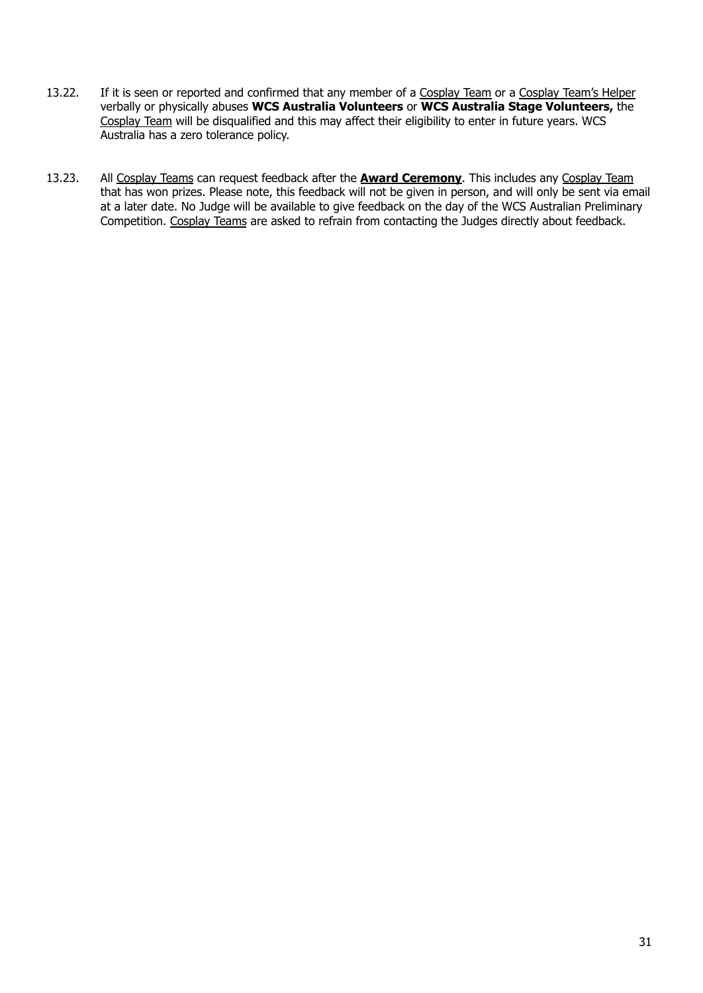- 13.22. If it is seen or reported and confirmed that any member of a Cosplay Team or a Cosplay Team's Helper verbally or physically abuses **WCS Australia Volunteers** or **WCS Australia Stage Volunteers,** the Cosplay Team will be disqualified and this may affect their eligibility to enter in future years. WCS Australia has a zero tolerance policy.
- 13.23. All Cosplay Teams can request feedback after the **Award Ceremony**. This includes any Cosplay Team that has won prizes. Please note, this feedback will not be given in person, and will only be sent via email at a later date. No Judge will be available to give feedback on the day of the WCS Australian Preliminary Competition. Cosplay Teams are asked to refrain from contacting the Judges directly about feedback.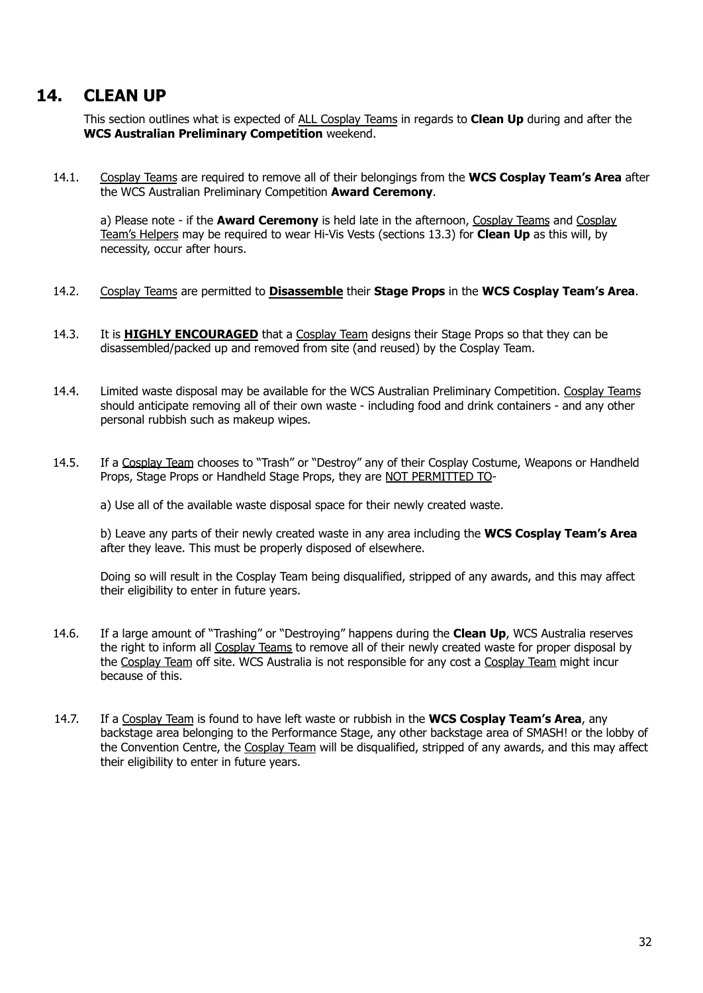## <span id="page-31-0"></span>**14. CLEAN UP**

This section outlines what is expected of ALL Cosplay Teams in regards to **Clean Up** during and after the **WCS Australian Preliminary Competition** weekend.

14.1. Cosplay Teams are required to remove all of their belongings from the **WCS Cosplay Team's Area** after the WCS Australian Preliminary Competition **Award Ceremony**.

a) Please note - if the **Award Ceremony** is held late in the afternoon, Cosplay Teams and Cosplay Team's Helpers may be required to wear Hi-Vis Vests (sections 13.3) for **Clean Up** as this will, by necessity, occur after hours.

- 14.2. Cosplay Teams are permitted to **Disassemble** their **Stage Props** in the **WCS Cosplay Team's Area**.
- 14.3. It is **HIGHLY ENCOURAGED** that a Cosplay Team designs their Stage Props so that they can be disassembled/packed up and removed from site (and reused) by the Cosplay Team.
- 14.4. Limited waste disposal may be available for the WCS Australian Preliminary Competition. Cosplay Teams should anticipate removing all of their own waste - including food and drink containers - and any other personal rubbish such as makeup wipes.
- 14.5. If a Cosplay Team chooses to "Trash" or "Destroy" any of their Cosplay Costume, Weapons or Handheld Props, Stage Props or Handheld Stage Props, they are NOT PERMITTED TO-

a) Use all of the available waste disposal space for their newly created waste.

b) Leave any parts of their newly created waste in any area including the **WCS Cosplay Team's Area** after they leave. This must be properly disposed of elsewhere.

Doing so will result in the Cosplay Team being disqualified, stripped of any awards, and this may affect their eligibility to enter in future years.

- 14.6. If a large amount of "Trashing" or "Destroying" happens during the **Clean Up**, WCS Australia reserves the right to inform all Cosplay Teams to remove all of their newly created waste for proper disposal by the Cosplay Team off site. WCS Australia is not responsible for any cost a Cosplay Team might incur because of this.
- 14.7. If a Cosplay Team is found to have left waste or rubbish in the **WCS Cosplay Team's Area**, any backstage area belonging to the Performance Stage, any other backstage area of SMASH! or the lobby of the Convention Centre, the Cosplay Team will be disqualified, stripped of any awards, and this may affect their eligibility to enter in future years.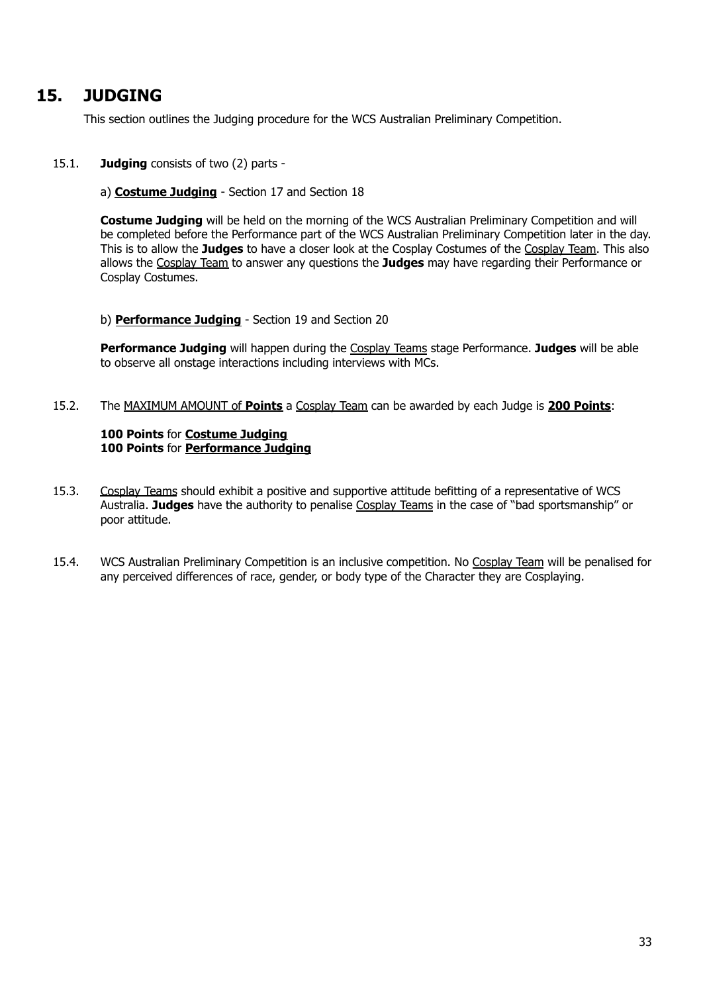## <span id="page-32-0"></span>**15. JUDGING**

This section outlines the Judging procedure for the WCS Australian Preliminary Competition.

### 15.1. **Judging** consists of two (2) parts -

#### a) **Costume Judging** - Section 17 and Section 18

**Costume Judging** will be held on the morning of the WCS Australian Preliminary Competition and will be completed before the Performance part of the WCS Australian Preliminary Competition later in the day. This is to allow the **Judges** to have a closer look at the Cosplay Costumes of the Cosplay Team. This also allows the Cosplay Team to answer any questions the **Judges** may have regarding their Performance or Cosplay Costumes.

#### b) **Performance Judging** - Section 19 and Section 20

**Performance Judging** will happen during the Cosplay Teams stage Performance. **Judges** will be able to observe all onstage interactions including interviews with MCs.

15.2. The MAXIMUM AMOUNT of **Points** a Cosplay Team can be awarded by each Judge is **200 Points**:

### **100 Points** for **Costume Judging 100 Points** for **Performance Judging**

- 15.3. Cosplay Teams should exhibit a positive and supportive attitude befitting of a representative of WCS Australia. **Judges** have the authority to penalise Cosplay Teams in the case of "bad sportsmanship" or poor attitude.
- 15.4. WCS Australian Preliminary Competition is an inclusive competition. No Cosplay Team will be penalised for any perceived differences of race, gender, or body type of the Character they are Cosplaying.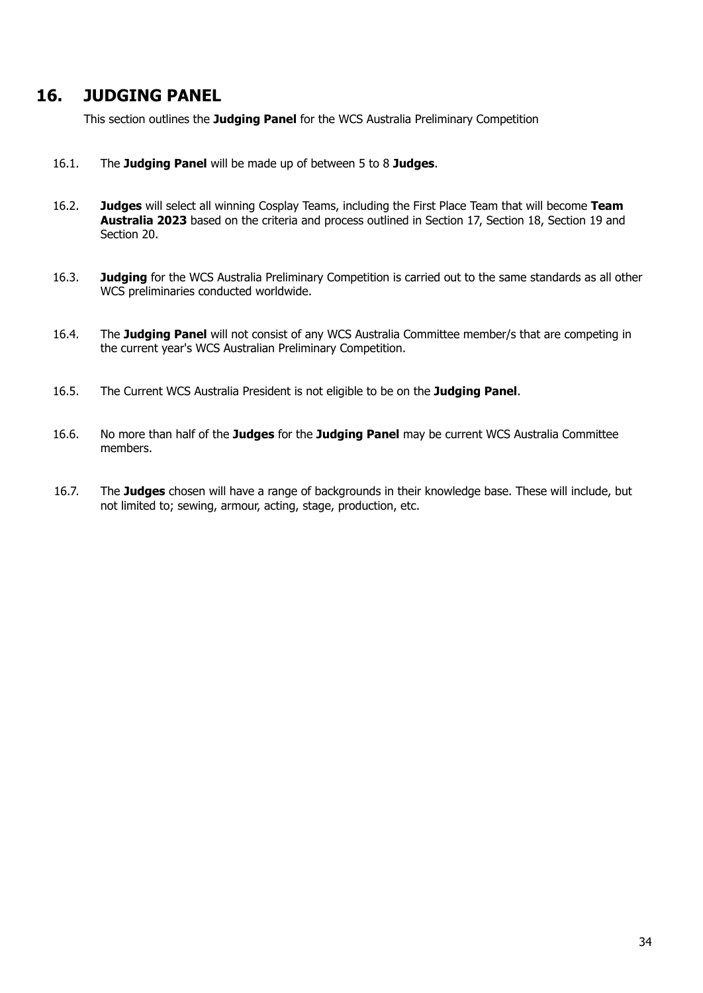## <span id="page-33-0"></span>**16. JUDGING PANEL**

This section outlines the **Judging Panel** for the WCS Australia Preliminary Competition

- 16.1. The **Judging Panel** will be made up of between 5 to 8 **Judges**.
- 16.2. **Judges** will select all winning Cosplay Teams, including the First Place Team that will become **Team Australia 2023** based on the criteria and process outlined in Section 17, Section 18, Section 19 and Section 20.
- 16.3. **Judging** for the WCS Australia Preliminary Competition is carried out to the same standards as all other WCS preliminaries conducted worldwide.
- 16.4. The **Judging Panel** will not consist of any WCS Australia Committee member/s that are competing in the current year's WCS Australian Preliminary Competition.
- 16.5. The Current WCS Australia President is not eligible to be on the **Judging Panel**.
- 16.6. No more than half of the **Judges** for the **Judging Panel** may be current WCS Australia Committee members.
- 16.7. The **Judges** chosen will have a range of backgrounds in their knowledge base. These will include, but not limited to; sewing, armour, acting, stage, production, etc.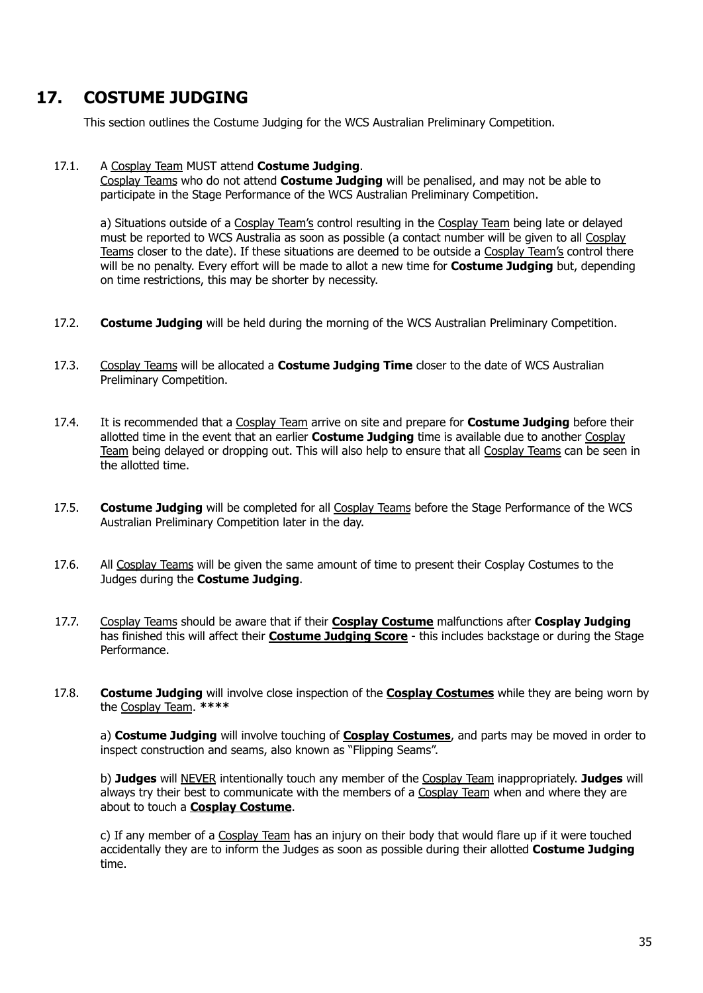# <span id="page-34-0"></span>**17. COSTUME JUDGING**

This section outlines the Costume Judging for the WCS Australian Preliminary Competition.

#### 17.1. A Cosplay Team MUST attend **Costume Judging**.

Cosplay Teams who do not attend **Costume Judging** will be penalised, and may not be able to participate in the Stage Performance of the WCS Australian Preliminary Competition.

a) Situations outside of a Cosplay Team's control resulting in the Cosplay Team being late or delayed must be reported to WCS Australia as soon as possible (a contact number will be given to all Cosplay Teams closer to the date). If these situations are deemed to be outside a Cosplay Team's control there will be no penalty. Every effort will be made to allot a new time for **Costume Judging** but, depending on time restrictions, this may be shorter by necessity.

- 17.2. **Costume Judging** will be held during the morning of the WCS Australian Preliminary Competition.
- 17.3. Cosplay Teams will be allocated a **Costume Judging Time** closer to the date of WCS Australian Preliminary Competition.
- 17.4. It is recommended that a Cosplay Team arrive on site and prepare for **Costume Judging** before their allotted time in the event that an earlier **Costume Judging** time is available due to another Cosplay Team being delayed or dropping out. This will also help to ensure that all Cosplay Teams can be seen in the allotted time.
- 17.5. **Costume Judging** will be completed for all Cosplay Teams before the Stage Performance of the WCS Australian Preliminary Competition later in the day.
- 17.6. All Cosplay Teams will be given the same amount of time to present their Cosplay Costumes to the Judges during the **Costume Judging**.
- 17.7. Cosplay Teams should be aware that if their **Cosplay Costume** malfunctions after **Cosplay Judging** has finished this will affect their **Costume Judging Score** - this includes backstage or during the Stage Performance.
- 17.8. **Costume Judging** will involve close inspection of the **Cosplay Costumes** while they are being worn by the Cosplay Team. **\*\*\*\***

a) **Costume Judging** will involve touching of **Cosplay Costumes**, and parts may be moved in order to inspect construction and seams, also known as "Flipping Seams".

b) **Judges** will NEVER intentionally touch any member of the Cosplay Team inappropriately. **Judges** will always try their best to communicate with the members of a Cosplay Team when and where they are about to touch a **Cosplay Costume**.

c) If any member of a Cosplay Team has an injury on their body that would flare up if it were touched accidentally they are to inform the Judges as soon as possible during their allotted **Costume Judging** time.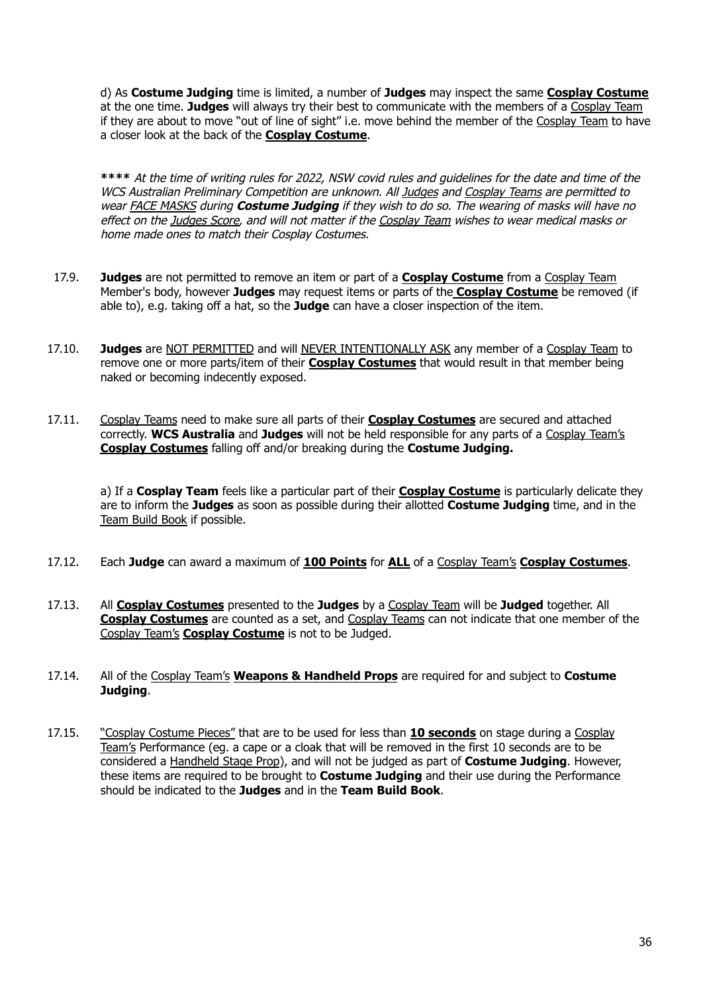d) As **Costume Judging** time is limited, a number of **Judges** may inspect the same **Cosplay Costume** at the one time. **Judges** will always try their best to communicate with the members of a Cosplay Team if they are about to move "out of line of sight" i.e. move behind the member of the Cosplay Team to have a closer look at the back of the **Cosplay Costume**.

**\*\*\*\*** At the time of writing rules for 2022, NSW covid rules and guidelines for the date and time of the WCS Australian Preliminary Competition are unknown. All Judges and Cosplay Teams are permitted to wear FACE MASKS during **Costume Judging** if they wish to do so. The wearing of masks will have no effect on the Judges Score, and will not matter if the Cosplay Team wishes to wear medical masks or home made ones to match their Cosplay Costumes.

- 17.9. **Judges** are not permitted to remove an item or part of a **Cosplay Costume** from a Cosplay Team Member's body, however **Judges** may request items or parts of the **Cosplay Costume** be removed (if able to), e.g. taking off a hat, so the **Judge** can have a closer inspection of the item.
- 17.10. **Judges** are NOT PERMITTED and will NEVER INTENTIONALLY ASK any member of a Cosplay Team to remove one or more parts/item of their **Cosplay Costumes** that would result in that member being naked or becoming indecently exposed.
- 17.11. Cosplay Teams need to make sure all parts of their **Cosplay Costumes** are secured and attached correctly. **WCS Australia** and **Judges** will not be held responsible for any parts of a Cosplay Team's **Cosplay Costumes** falling off and/or breaking during the **Costume Judging.**

a) If a **Cosplay Team** feels like a particular part of their **Cosplay Costume** is particularly delicate they are to inform the **Judges** as soon as possible during their allotted **Costume Judging** time, and in the Team Build Book if possible.

- 17.12. Each **Judge** can award a maximum of **100 Points** for **ALL** of a Cosplay Team's **Cosplay Costumes**.
- 17.13. All **Cosplay Costumes** presented to the **Judges** by a Cosplay Team will be **Judged** together. All **Cosplay Costumes** are counted as a set, and Cosplay Teams can not indicate that one member of the Cosplay Team's **Cosplay Costume** is not to be Judged.
- 17.14. All of the Cosplay Team's **Weapons & Handheld Props** are required for and subject to **Costume Judging**.
- 17.15. "Cosplay Costume Pieces" that are to be used for less than **10 seconds** on stage during a Cosplay Team's Performance (eg. a cape or a cloak that will be removed in the first 10 seconds are to be considered a Handheld Stage Prop), and will not be judged as part of **Costume Judging**. However, these items are required to be brought to **Costume Judging** and their use during the Performance should be indicated to the **Judges** and in the **Team Build Book**.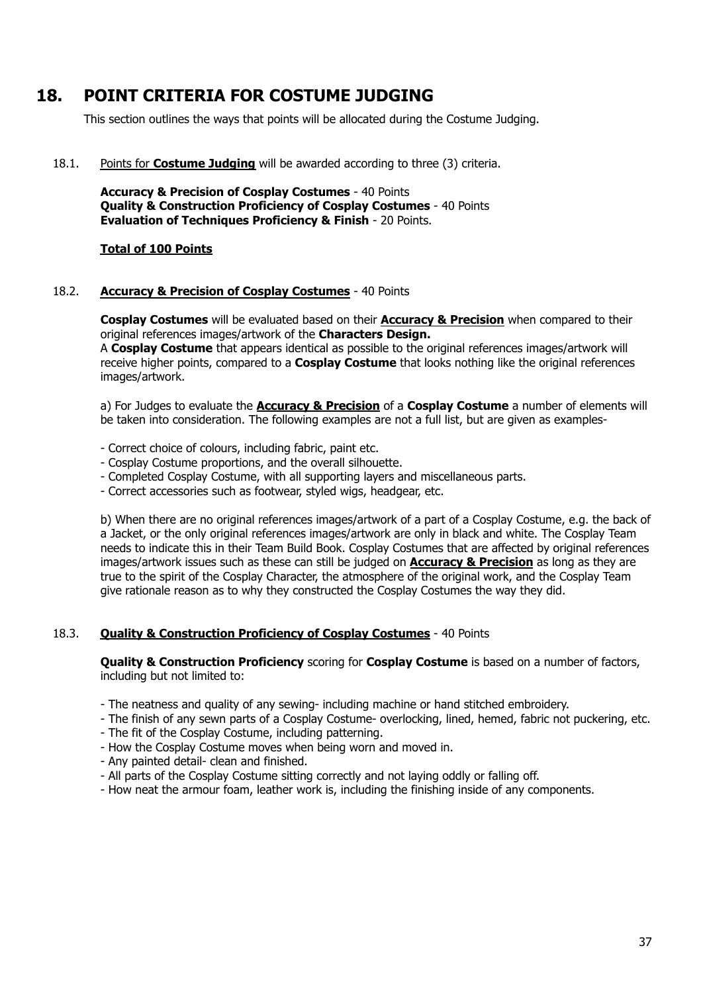# <span id="page-36-0"></span>**18. POINT CRITERIA FOR COSTUME JUDGING**

This section outlines the ways that points will be allocated during the Costume Judging.

18.1. Points for **Costume Judging** will be awarded according to three (3) criteria.

**Accuracy & Precision of Cosplay Costumes** - 40 Points **Quality & Construction Proficiency of Cosplay Costumes** - 40 Points **Evaluation of Techniques Proficiency & Finish** - 20 Points.

#### **Total of 100 Points**

#### 18.2. **Accuracy & Precision of Cosplay Costumes** - 40 Points

**Cosplay Costumes** will be evaluated based on their **Accuracy & Precision** when compared to their original references images/artwork of the **Characters Design.**

A **Cosplay Costume** that appears identical as possible to the original references images/artwork will receive higher points, compared to a **Cosplay Costume** that looks nothing like the original references images/artwork.

a) For Judges to evaluate the **Accuracy & Precision** of a **Cosplay Costume** a number of elements will be taken into consideration. The following examples are not a full list, but are given as examples-

- Correct choice of colours, including fabric, paint etc.

- Cosplay Costume proportions, and the overall silhouette.
- Completed Cosplay Costume, with all supporting layers and miscellaneous parts.
- Correct accessories such as footwear, styled wigs, headgear, etc.

b) When there are no original references images/artwork of a part of a Cosplay Costume, e.g. the back of a Jacket, or the only original references images/artwork are only in black and white. The Cosplay Team needs to indicate this in their Team Build Book. Cosplay Costumes that are affected by original references images/artwork issues such as these can still be judged on **Accuracy & Precision** as long as they are true to the spirit of the Cosplay Character, the atmosphere of the original work, and the Cosplay Team give rationale reason as to why they constructed the Cosplay Costumes the way they did.

### 18.3. **Quality & Construction Proficiency of Cosplay Costumes** - 40 Points

#### **Quality & Construction Proficiency** scoring for **Cosplay Costume** is based on a number of factors, including but not limited to:

- The neatness and quality of any sewing- including machine or hand stitched embroidery.
- The finish of any sewn parts of a Cosplay Costume- overlocking, lined, hemed, fabric not puckering, etc.
- The fit of the Cosplay Costume, including patterning.
- How the Cosplay Costume moves when being worn and moved in.
- Any painted detail- clean and finished.
- All parts of the Cosplay Costume sitting correctly and not laying oddly or falling off.
- How neat the armour foam, leather work is, including the finishing inside of any components.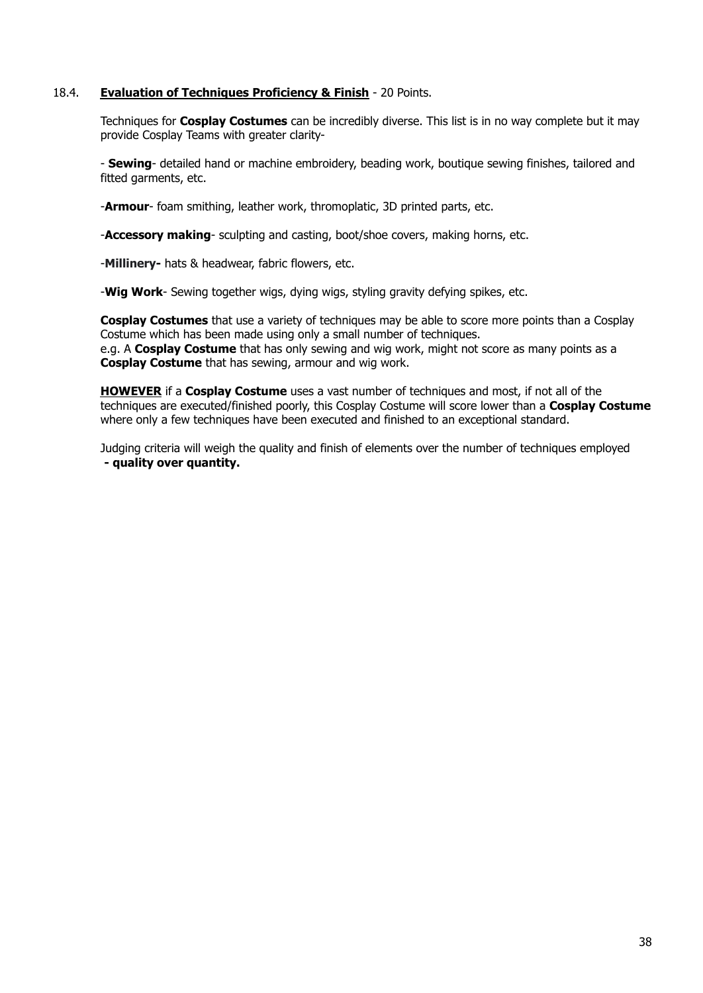### 18.4. **Evaluation of Techniques Proficiency & Finish** - 20 Points.

Techniques for **Cosplay Costumes** can be incredibly diverse. This list is in no way complete but it may provide Cosplay Teams with greater clarity-

- **Sewing**- detailed hand or machine embroidery, beading work, boutique sewing finishes, tailored and fitted garments, etc.

-**Armour**- foam smithing, leather work, thromoplatic, 3D printed parts, etc.

-**Accessory making**- sculpting and casting, boot/shoe covers, making horns, etc.

-**Millinery-** hats & headwear, fabric flowers, etc.

-**Wig Work**- Sewing together wigs, dying wigs, styling gravity defying spikes, etc.

**Cosplay Costumes** that use a variety of techniques may be able to score more points than a Cosplay Costume which has been made using only a small number of techniques. e.g. A **Cosplay Costume** that has only sewing and wig work, might not score as many points as a **Cosplay Costume** that has sewing, armour and wig work.

**HOWEVER** if a **Cosplay Costume** uses a vast number of techniques and most, if not all of the techniques are executed/finished poorly, this Cosplay Costume will score lower than a **Cosplay Costume** where only a few techniques have been executed and finished to an exceptional standard.

Judging criteria will weigh the quality and finish of elements over the number of techniques employed **- quality over quantity.**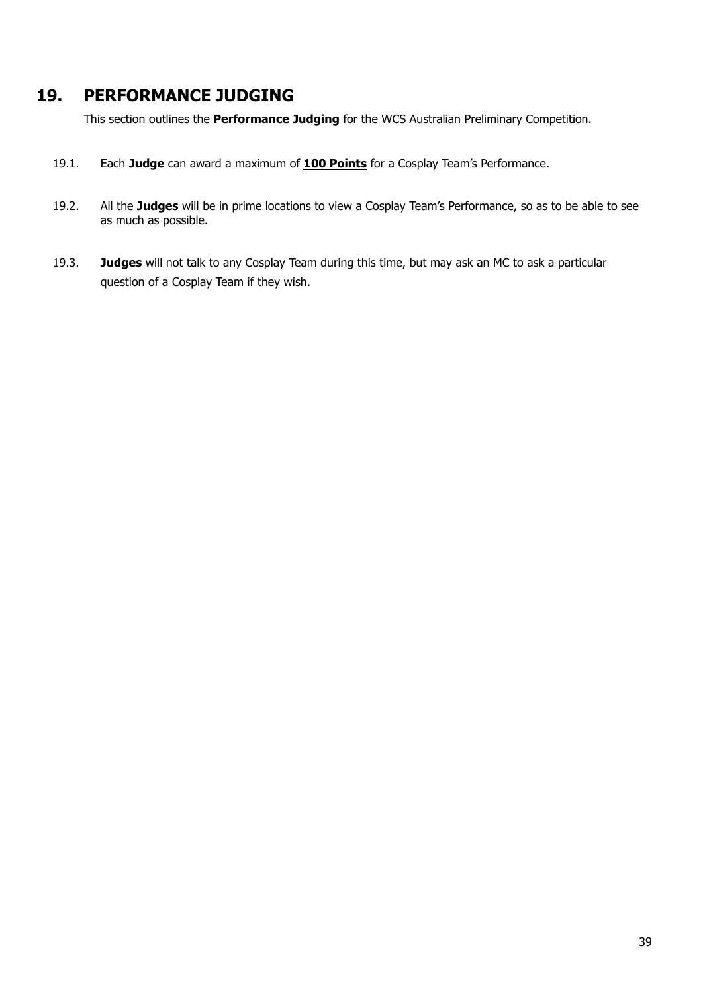# <span id="page-38-0"></span>**19. PERFORMANCE JUDGING**

This section outlines the **Performance Judging** for the WCS Australian Preliminary Competition.

- 19.1. Each **Judge** can award a maximum of **100 Points** for a Cosplay Team's Performance.
- 19.2. All the **Judges** will be in prime locations to view a Cosplay Team's Performance, so as to be able to see as much as possible.
- 19.3. **Judges** will not talk to any Cosplay Team during this time, but may ask an MC to ask a particular question of a Cosplay Team if they wish.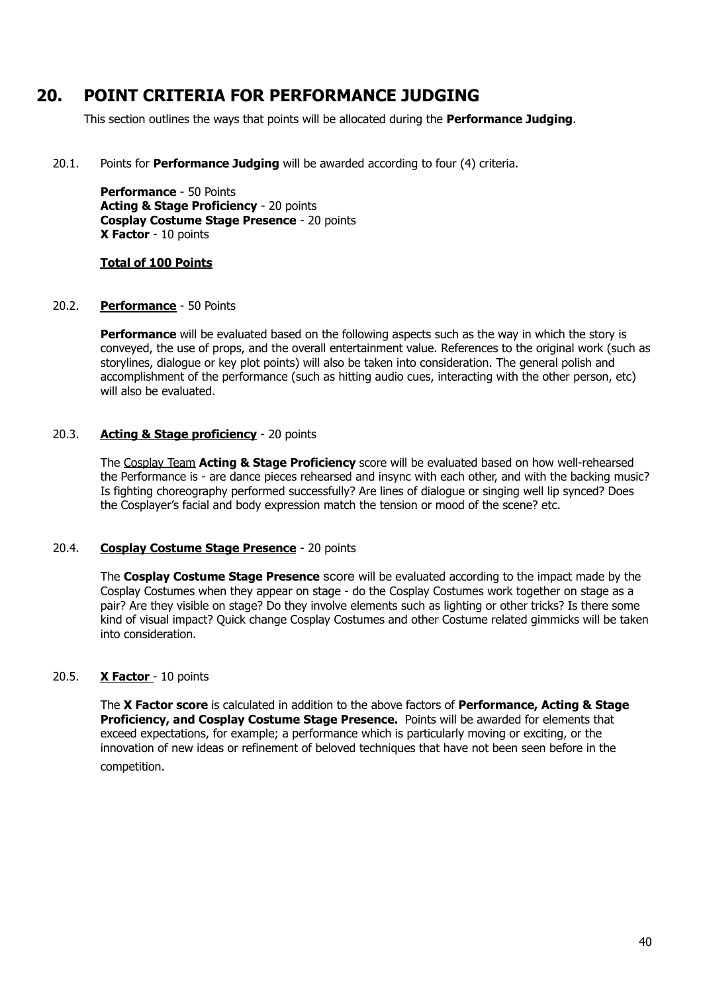# <span id="page-39-0"></span>**20. POINT CRITERIA FOR PERFORMANCE JUDGING**

This section outlines the ways that points will be allocated during the **Performance Judging**.

20.1. Points for **Performance Judging** will be awarded according to four (4) criteria.

**Performance** - 50 Points **Acting & Stage Proficiency** - 20 points **Cosplay Costume Stage Presence** - 20 points **X Factor** - 10 points

### **Total of 100 Points**

#### 20.2. **Performance** - 50 Points

**Performance** will be evaluated based on the following aspects such as the way in which the story is conveyed, the use of props, and the overall entertainment value. References to the original work (such as storylines, dialogue or key plot points) will also be taken into consideration. The general polish and accomplishment of the performance (such as hitting audio cues, interacting with the other person, etc) will also be evaluated.

### 20.3. **Acting & Stage proficiency** - 20 points

The Cosplay Team **Acting & Stage Proficiency** score will be evaluated based on how well-rehearsed the Performance is - are dance pieces rehearsed and insync with each other, and with the backing music? Is fighting choreography performed successfully? Are lines of dialogue or singing well lip synced? Does the Cosplayer's facial and body expression match the tension or mood of the scene? etc.

### 20.4. **Cosplay Costume Stage Presence** - 20 points

The **Cosplay Costume Stage Presence** score will be evaluated according to the impact made by the Cosplay Costumes when they appear on stage - do the Cosplay Costumes work together on stage as a pair? Are they visible on stage? Do they involve elements such as lighting or other tricks? Is there some kind of visual impact? Quick change Cosplay Costumes and other Costume related gimmicks will be taken into consideration.

### 20.5. **X Factor** - 10 points

The **X Factor score** is calculated in addition to the above factors of **Performance, Acting & Stage Proficiency, and Cosplay Costume Stage Presence.** Points will be awarded for elements that exceed expectations, for example; a performance which is particularly moving or exciting, or the innovation of new ideas or refinement of beloved techniques that have not been seen before in the competition.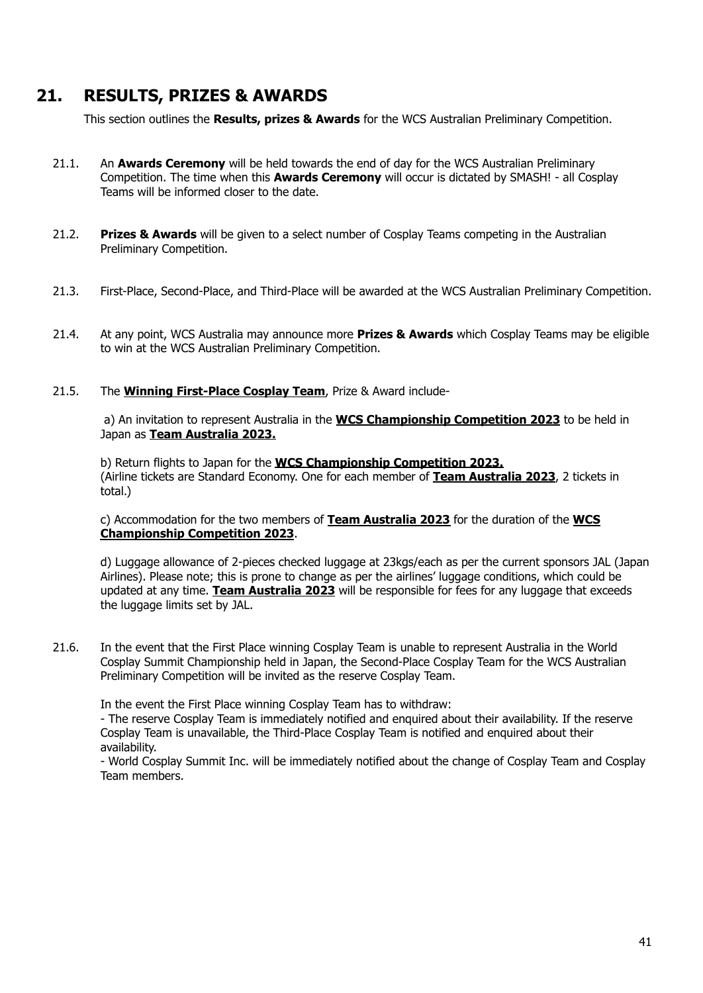# <span id="page-40-0"></span>**21. RESULTS, PRIZES & AWARDS**

This section outlines the **Results, prizes & Awards** for the WCS Australian Preliminary Competition.

- 21.1. An **Awards Ceremony** will be held towards the end of day for the WCS Australian Preliminary Competition. The time when this **Awards Ceremony** will occur is dictated by SMASH! - all Cosplay Teams will be informed closer to the date.
- 21.2. **Prizes & Awards** will be given to a select number of Cosplay Teams competing in the Australian Preliminary Competition.
- 21.3. First-Place, Second-Place, and Third-Place will be awarded at the WCS Australian Preliminary Competition.
- 21.4. At any point, WCS Australia may announce more **Prizes & Awards** which Cosplay Teams may be eligible to win at the WCS Australian Preliminary Competition.

#### 21.5. The **Winning First-Place Cosplay Team**, Prize & Award include-

a) An invitation to represent Australia in the **WCS Championship Competition 2023** to be held in Japan as **Team Australia 2023.**

b) Return flights to Japan for the **WCS Championship Competition 2023.** (Airline tickets are Standard Economy. One for each member of **Team Australia 2023**, 2 tickets in total.)

#### c) Accommodation for the two members of **Team Australia 2023** for the duration of the **WCS Championship Competition 2023**.

d) Luggage allowance of 2-pieces checked luggage at 23kgs/each as per the current sponsors JAL (Japan Airlines). Please note; this is prone to change as per the airlines' luggage conditions, which could be updated at any time. **Team Australia 2023** will be responsible for fees for any luggage that exceeds the luggage limits set by JAL.

21.6. In the event that the First Place winning Cosplay Team is unable to represent Australia in the World Cosplay Summit Championship held in Japan, the Second-Place Cosplay Team for the WCS Australian Preliminary Competition will be invited as the reserve Cosplay Team.

In the event the First Place winning Cosplay Team has to withdraw:

- The reserve Cosplay Team is immediately notified and enquired about their availability. If the reserve Cosplay Team is unavailable, the Third-Place Cosplay Team is notified and enquired about their availability.

- World Cosplay Summit Inc. will be immediately notified about the change of Cosplay Team and Cosplay Team members.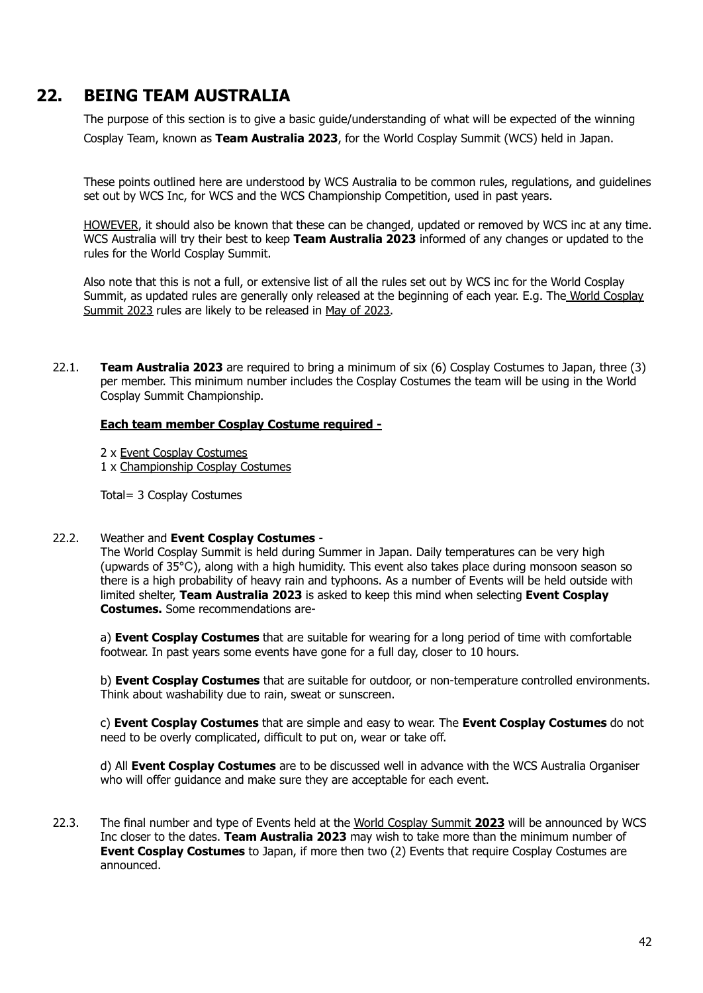# <span id="page-41-0"></span>**22. BEING TEAM AUSTRALIA**

The purpose of this section is to give a basic guide/understanding of what will be expected of the winning Cosplay Team, known as **Team Australia 2023**, for the World Cosplay Summit (WCS) held in Japan.

These points outlined here are understood by WCS Australia to be common rules, regulations, and guidelines set out by WCS Inc, for WCS and the WCS Championship Competition, used in past years.

HOWEVER, it should also be known that these can be changed, updated or removed by WCS inc at any time. WCS Australia will try their best to keep **Team Australia 2023** informed of any changes or updated to the rules for the World Cosplay Summit.

Also note that this is not a full, or extensive list of all the rules set out by WCS inc for the World Cosplay Summit, as updated rules are generally only released at the beginning of each year. E.g. The World Cosplay Summit 2023 rules are likely to be released in May of 2023.

22.1. **Team Australia 2023** are required to bring a minimum of six (6) Cosplay Costumes to Japan, three (3) per member. This minimum number includes the Cosplay Costumes the team will be using in the World Cosplay Summit Championship.

#### **Each team member Cosplay Costume required -**

- 2 x Event Cosplay Costumes
- 1 x Championship Cosplay Costumes

Total= 3 Cosplay Costumes

#### 22.2. Weather and **Event Cosplay Costumes** -

The World Cosplay Summit is held during Summer in Japan. Daily temperatures can be very high (upwards of 35**°**C), along with a high humidity. This event also takes place during monsoon season so there is a high probability of heavy rain and typhoons. As a number of Events will be held outside with limited shelter, **Team Australia 2023** is asked to keep this mind when selecting **Event Cosplay Costumes.** Some recommendations are-

a) **Event Cosplay Costumes** that are suitable for wearing for a long period of time with comfortable footwear. In past years some events have gone for a full day, closer to 10 hours.

b) **Event Cosplay Costumes** that are suitable for outdoor, or non-temperature controlled environments. Think about washability due to rain, sweat or sunscreen.

c) **Event Cosplay Costumes** that are simple and easy to wear. The **Event Cosplay Costumes** do not need to be overly complicated, difficult to put on, wear or take off.

d) All **Event Cosplay Costumes** are to be discussed well in advance with the WCS Australia Organiser who will offer guidance and make sure they are acceptable for each event.

22.3. The final number and type of Events held at the World Cosplay Summit **2023** will be announced by WCS Inc closer to the dates. **Team Australia 2023** may wish to take more than the minimum number of **Event Cosplay Costumes** to Japan, if more then two (2) Events that require Cosplay Costumes are announced.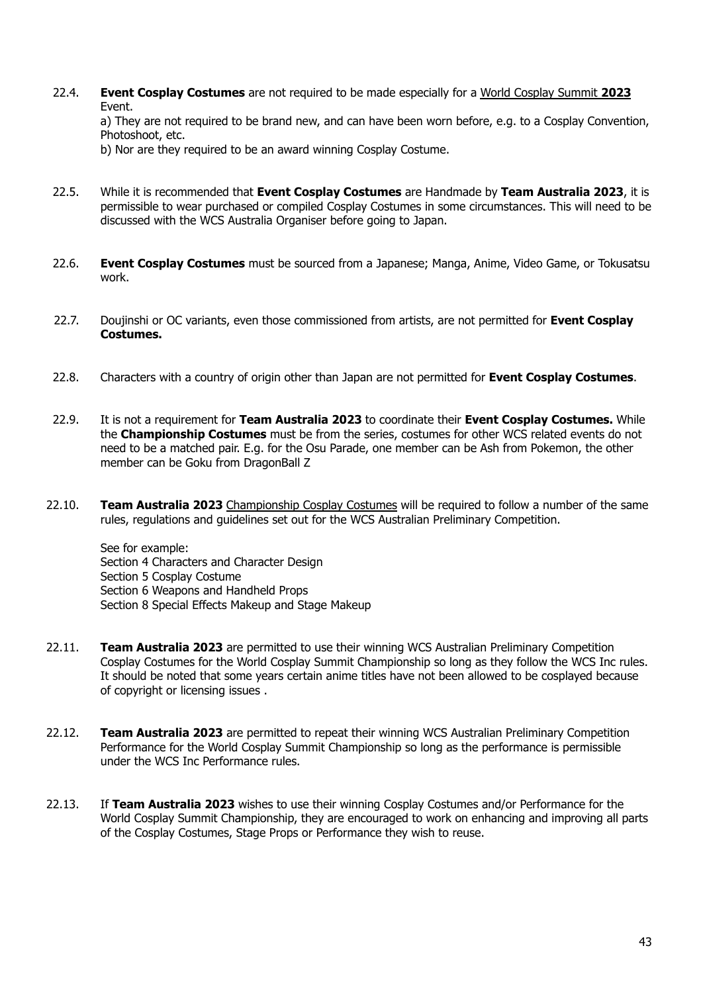22.4. **Event Cosplay Costumes** are not required to be made especially for a World Cosplay Summit **2023** Event.

a) They are not required to be brand new, and can have been worn before, e.g. to a Cosplay Convention, Photoshoot, etc.

b) Nor are they required to be an award winning Cosplay Costume.

- 22.5. While it is recommended that **Event Cosplay Costumes** are Handmade by **Team Australia 2023**, it is permissible to wear purchased or compiled Cosplay Costumes in some circumstances. This will need to be discussed with the WCS Australia Organiser before going to Japan.
- 22.6. **Event Cosplay Costumes** must be sourced from a Japanese; Manga, Anime, Video Game, or Tokusatsu work.
- 22.7. Doujinshi or OC variants, even those commissioned from artists, are not permitted for **Event Cosplay Costumes.**
- 22.8. Characters with a country of origin other than Japan are not permitted for **Event Cosplay Costumes**.
- 22.9. It is not a requirement for **Team Australia 2023** to coordinate their **Event Cosplay Costumes.** While the **Championship Costumes** must be from the series, costumes for other WCS related events do not need to be a matched pair. E.g. for the Osu Parade, one member can be Ash from Pokemon, the other member can be Goku from DragonBall Z
- 22.10. **Team Australia 2023** Championship Cosplay Costumes will be required to follow a number of the same rules, regulations and guidelines set out for the WCS Australian Preliminary Competition.

See for example: Section 4 Characters and Character Design Section 5 Cosplay Costume Section 6 Weapons and Handheld Props Section 8 Special Effects Makeup and Stage Makeup

- 22.11. **Team Australia 2023** are permitted to use their winning WCS Australian Preliminary Competition Cosplay Costumes for the World Cosplay Summit Championship so long as they follow the WCS Inc rules. It should be noted that some years certain anime titles have not been allowed to be cosplayed because of copyright or licensing issues .
- 22.12. **Team Australia 2023** are permitted to repeat their winning WCS Australian Preliminary Competition Performance for the World Cosplay Summit Championship so long as the performance is permissible under the WCS Inc Performance rules.
- 22.13. If **Team Australia 2023** wishes to use their winning Cosplay Costumes and/or Performance for the World Cosplay Summit Championship, they are encouraged to work on enhancing and improving all parts of the Cosplay Costumes, Stage Props or Performance they wish to reuse.